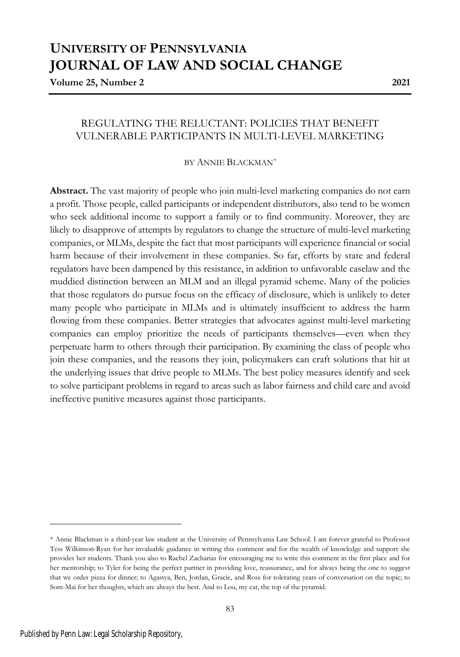# **UNIVERSITY OF PENNSYLVANIA JOURNAL OF LAW AND SOCIAL CHANGE**

**Volume 25, Number 2 2021**

## REGULATING THE RELUCTANT: POLICIES THAT BENEFIT VULNERABLE PARTICIPANTS IN MULTI-LEVEL MARKETING

## BY ANNIE BLACKMAN*\**

**Abstract.** The vast majority of people who join multi-level marketing companies do not earn a profit. Those people, called participants or independent distributors, also tend to be women who seek additional income to support a family or to find community. Moreover, they are likely to disapprove of attempts by regulators to change the structure of multi-level marketing companies, or MLMs, despite the fact that most participants will experience financial or social harm because of their involvement in these companies. So far, efforts by state and federal regulators have been dampened by this resistance, in addition to unfavorable caselaw and the muddied distinction between an MLM and an illegal pyramid scheme. Many of the policies that those regulators do pursue focus on the efficacy of disclosure, which is unlikely to deter many people who participate in MLMs and is ultimately insufficient to address the harm flowing from these companies. Better strategies that advocates against multi-level marketing companies can employ prioritize the needs of participants themselves—even when they perpetuate harm to others through their participation. By examining the class of people who join these companies, and the reasons they join, policymakers can craft solutions that hit at the underlying issues that drive people to MLMs. The best policy measures identify and seek to solve participant problems in regard to areas such as labor fairness and child care and avoid ineffective punitive measures against those participants.

<sup>\*</sup> Annie Blackman is a third-year law student at the University of Pennsylvania Law School. I am forever grateful to Professor Tess Wilkinson-Ryan for her invaluable guidance in writing this comment and for the wealth of knowledge and support she provides her students. Thank you also to Rachel Zacharias for encouraging me to write this comment in the first place and for her mentorship; to Tyler for being the perfect partner in providing love, reassurance, and for always being the one to suggest that we order pizza for dinner; to Agastya, Ben, Jordan, Gracie, and Ross for tolerating years of conversation on the topic; to Som-Mai for her thoughts, which are always the best. And to Lou, my cat, the top of the pyramid.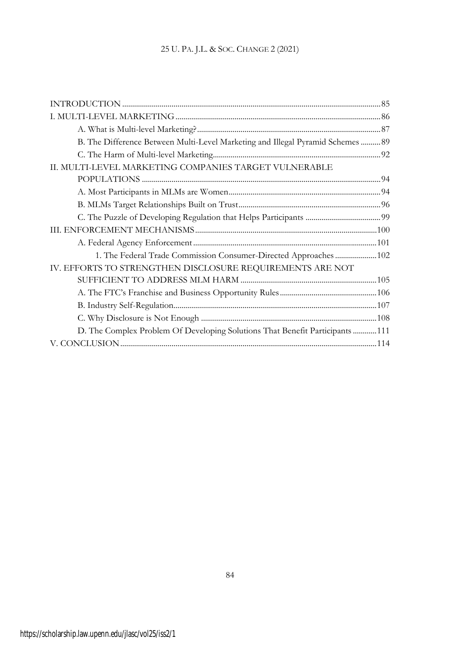| B. The Difference Between Multi-Level Marketing and Illegal Pyramid Schemes  89 |  |
|---------------------------------------------------------------------------------|--|
|                                                                                 |  |
| II. MULTI-LEVEL MARKETING COMPANIES TARGET VULNERABLE                           |  |
|                                                                                 |  |
|                                                                                 |  |
|                                                                                 |  |
|                                                                                 |  |
|                                                                                 |  |
|                                                                                 |  |
| 1. The Federal Trade Commission Consumer-Directed Approaches  102               |  |
| IV. EFFORTS TO STRENGTHEN DISCLOSURE REQUIREMENTS ARE NOT                       |  |
|                                                                                 |  |
|                                                                                 |  |
|                                                                                 |  |
|                                                                                 |  |
| D. The Complex Problem Of Developing Solutions That Benefit Participants  111   |  |
|                                                                                 |  |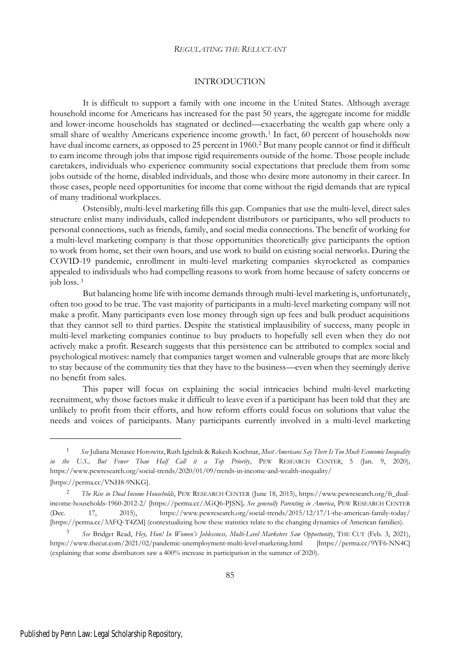## INTRODUCTION

It is difficult to support a family with one income in the United States. Although average household income for Americans has increased for the past 50 years, the aggregate income for middle and lower-income households has stagnated or declined—exacerbating the wealth gap where only a small share of wealthy Americans experience income growth.<sup>1</sup> In fact, 60 percent of households now have dual income earners, as opposed to 25 percent in 1960.<sup>2</sup> But many people cannot or find it difficult to earn income through jobs that impose rigid requirements outside of the home. Those people include caretakers, individuals who experience community social expectations that preclude them from some jobs outside of the home, disabled individuals, and those who desire more autonomy in their career. In those cases, people need opportunities for income that come without the rigid demands that are typical of many traditional workplaces.

Ostensibly, multi-level marketing fills this gap. Companies that use the multi-level, direct sales structure enlist many individuals, called independent distributors or participants, who sell products to personal connections, such as friends, family, and social media connections. The benefit of working for a multi-level marketing company is that those opportunities theoretically give participants the option to work from home, set their own hours, and use work to build on existing social networks. During the COVID-19 pandemic, enrollment in multi-level marketing companies skyrocketed as companies appealed to individuals who had compelling reasons to work from home because of safety concerns or job loss. <sup>3</sup>

But balancing home life with income demands through multi-level marketing is, unfortunately, often too good to be true. The vast majority of participants in a multi-level marketing company will not make a profit. Many participants even lose money through sign up fees and bulk product acquisitions that they cannot sell to third parties. Despite the statistical implausibility of success, many people in multi-level marketing companies continue to buy products to hopefully sell even when they do not actively make a profit. Research suggests that this persistence can be attributed to complex social and psychological motives: namely that companies target women and vulnerable groups that are more likely to stay because of the community ties that they have to the business—even when they seemingly derive no benefit from sales.

This paper will focus on explaining the social intricacies behind multi-level marketing recruitment, why those factors make it difficult to leave even if a participant has been told that they are unlikely to profit from their efforts, and how reform efforts could focus on solutions that value the needs and voices of participants. Many participants currently involved in a multi-level marketing

<sup>1</sup> *See* Juliana Menasce Horowitz, Ruth Igielnik & Rakesh Kochnar, *Most Americans Say There Is Too Much Economic Inequality in the U.S., But Fewer Than Half Call it a Top Priority*, PEW RESEARCH CENTER, 5 (Jan. 9, 2020), https://www.pewresearch.org/social-trends/2020/01/09/trends-in-income-and-wealth-inequality/ [https://perma.cc/VNH8-9NKG].

<sup>2</sup> *The Rise in Dual Income Households*, PEW RESEARCH CENTER (June 18, 2015), https://www.pewresearch.org/ft\_dualincome-households-1960-2012-2/ [https://perma.cc/AGQ6-PJSN]**.** *See generally Parenting in America*, PEW RESEARCH CENTER (Dec. 17, 2015), https://www.pewresearch.org/social-trends/2015/12/17/1-the-american-family-today/ [https://perma.cc/3AFQ-T4ZM] (contextualizing how these statistics relate to the changing dynamics of American families).

<sup>3</sup> *See* Bridget Read, *Hey, Hun! In Women's Joblessness, Multi-Level Marketers Saw Opportunity*, THE CUT (Feb. 3, 2021), https://www.thecut.com/2021/02/pandemic-unemployment-multi-level-marketing.html [https://perma.cc/9YF6-NN4C] (explaining that some distributors saw a 400% increase in participation in the summer of 2020).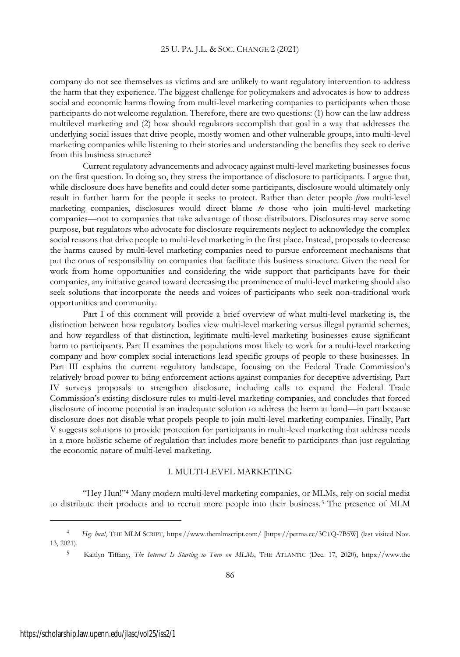company do not see themselves as victims and are unlikely to want regulatory intervention to address the harm that they experience. The biggest challenge for policymakers and advocates is how to address social and economic harms flowing from multi-level marketing companies to participants when those participants do not welcome regulation. Therefore, there are two questions: (1) how can the law address multilevel marketing and (2) how should regulators accomplish that goal in a way that addresses the underlying social issues that drive people, mostly women and other vulnerable groups, into multi-level marketing companies while listening to their stories and understanding the benefits they seek to derive from this business structure?

Current regulatory advancements and advocacy against multi-level marketing businesses focus on the first question. In doing so, they stress the importance of disclosure to participants. I argue that, while disclosure does have benefits and could deter some participants, disclosure would ultimately only result in further harm for the people it seeks to protect. Rather than deter people *from* multi-level marketing companies, disclosures would direct blame *to* those who join multi-level marketing companies—not to companies that take advantage of those distributors. Disclosures may serve some purpose, but regulators who advocate for disclosure requirements neglect to acknowledge the complex social reasons that drive people to multi-level marketing in the first place. Instead, proposals to decrease the harms caused by multi-level marketing companies need to pursue enforcement mechanisms that put the onus of responsibility on companies that facilitate this business structure. Given the need for work from home opportunities and considering the wide support that participants have for their companies, any initiative geared toward decreasing the prominence of multi-level marketing should also seek solutions that incorporate the needs and voices of participants who seek non-traditional work opportunities and community.

Part I of this comment will provide a brief overview of what multi-level marketing is, the distinction between how regulatory bodies view multi-level marketing versus illegal pyramid schemes, and how regardless of that distinction, legitimate multi-level marketing businesses cause significant harm to participants. Part II examines the populations most likely to work for a multi-level marketing company and how complex social interactions lead specific groups of people to these businesses. In Part III explains the current regulatory landscape, focusing on the Federal Trade Commission's relatively broad power to bring enforcement actions against companies for deceptive advertising. Part IV surveys proposals to strengthen disclosure, including calls to expand the Federal Trade Commission's existing disclosure rules to multi-level marketing companies, and concludes that forced disclosure of income potential is an inadequate solution to address the harm at hand—in part because disclosure does not disable what propels people to join multi-level marketing companies. Finally, Part V suggests solutions to provide protection for participants in multi-level marketing that address needs in a more holistic scheme of regulation that includes more benefit to participants than just regulating the economic nature of multi-level marketing.

## I. MULTI-LEVEL MARKETING

"Hey Hun!"<sup>4</sup> Many modern multi-level marketing companies, or MLMs, rely on social media to distribute their products and to recruit more people into their business.<sup>5</sup> The presence of MLM

<sup>4</sup> *Hey hun!*, THE MLM SCRIPT, https://www.themlmscript.com/ [https://perma.cc/3CTQ-7B5W] (last visited Nov. 13, 2021).

<sup>5</sup> Kaitlyn Tiffany, *The Internet Is Starting to Turn on MLMs*, THE ATLANTIC (Dec. 17, 2020), https://www.the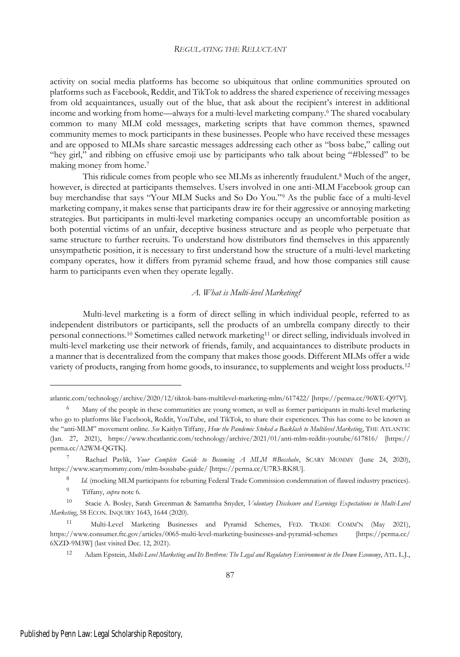activity on social media platforms has become so ubiquitous that online communities sprouted on platforms such as Facebook, Reddit, and TikTok to address the shared experience of receiving messages from old acquaintances, usually out of the blue, that ask about the recipient's interest in additional income and working from home—always for a multi-level marketing company.<sup>6</sup> The shared vocabulary common to many MLM cold messages, marketing scripts that have common themes, spawned community memes to mock participants in these businesses. People who have received these messages and are opposed to MLMs share sarcastic messages addressing each other as "boss babe," calling out "hey girl," and ribbing on effusive emoji use by participants who talk about being "#blessed" to be making money from home.<sup>7</sup>

This ridicule comes from people who see MLMs as inherently fraudulent.<sup>8</sup> Much of the anger, however, is directed at participants themselves. Users involved in one anti-MLM Facebook group can buy merchandise that says "Your MLM Sucks and So Do You."<sup>9</sup> As the public face of a multi-level marketing company, it makes sense that participants draw ire for their aggressive or annoying marketing strategies. But participants in multi-level marketing companies occupy an uncomfortable position as both potential victims of an unfair, deceptive business structure and as people who perpetuate that same structure to further recruits. To understand how distributors find themselves in this apparently unsympathetic position, it is necessary to first understand how the structure of a multi-level marketing company operates, how it differs from pyramid scheme fraud, and how those companies still cause harm to participants even when they operate legally.

#### *A. What is Multi-level Marketing?*

Multi-level marketing is a form of direct selling in which individual people, referred to as independent distributors or participants, sell the products of an umbrella company directly to their personal connections.<sup>10</sup> Sometimes called network marketing<sup>11</sup> or direct selling, individuals involved in multi-level marketing use their network of friends, family, and acquaintances to distribute products in a manner that is decentralized from the company that makes those goods. Different MLMs offer a wide variety of products, ranging from home goods, to insurance, to supplements and weight loss products.<sup>12</sup>

atlantic.com/technology/archive/2020/12/tiktok-bans-multilevel-marketing-mlm/617422/ [https://perma.cc/96WE-Q97V].

<sup>&</sup>lt;sup>6</sup> Many of the people in these communities are young women, as well as former participants in multi-level marketing who go to platforms like Facebook, Reddit, YouTube, and TikTok, to share their experiences. This has come to be known as the "anti-MLM" movement online. *See* Kaitlyn Tiffany, *How the Pandemic Stoked a Backlash to Multilevel Marketing*, THE ATLANTIC (Jan. 27, 2021), https://www.theatlantic.com/technology/archive/2021/01/anti-mlm-reddit-youtube/617816/ [https:// perma.cc/A2WM-QGTK].

<sup>7</sup> Rachael Pavlik, *Your Complete Guide to Becoming A MLM #Bossbabe*, SCARY MOMMY (June 24, 2020), https://www.scarymommy.com/mlm-bossbabe-guide/ [https://perma.cc/U7R3-RK8U].

<sup>8</sup> *Id.* (mocking MLM participants for rebutting Federal Trade Commission condemnation of flawed industry practices).

<sup>9</sup> Tiffany, *supra* note 6.

<sup>10</sup> Stacie A. Bosley, Sarah Greenman & Samantha Snyder, *Voluntary Disclosure and Earnings Expectations in Multi-Level Marketing*, 58 ECON. INQUIRY 1643, 1644 (2020).

<sup>11</sup> Multi-Level Marketing Businesses and Pyramid Schemes, FED. TRADE COMM'<sup>N</sup> (May 2021), https://www.consumer.ftc.gov/articles/0065-multi-level-marketing-businesses-and-pyramid-schemes [https://perma.cc/ 6XZD-9M3W] (last visited Dec. 12, 2021).

<sup>12</sup> Adam Epstein, *Multi-Level Marketing and Its Brethren: The Legal and Regulatory Environment in the Down Economy*, ATL. L.J.,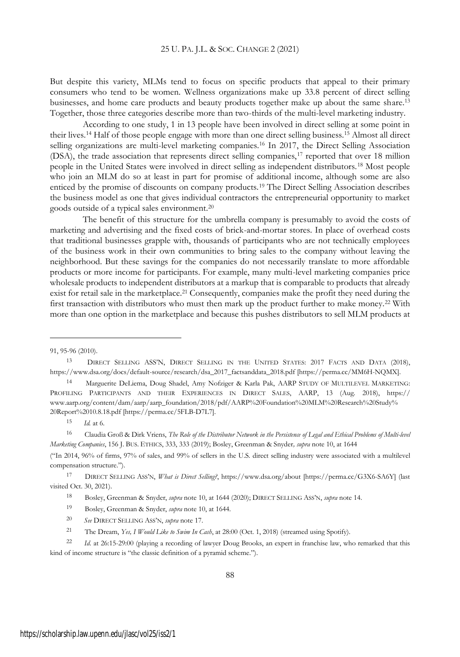But despite this variety, MLMs tend to focus on specific products that appeal to their primary consumers who tend to be women. Wellness organizations make up 33.8 percent of direct selling businesses, and home care products and beauty products together make up about the same share.<sup>13</sup> Together, those three categories describe more than two-thirds of the multi-level marketing industry.

According to one study, 1 in 13 people have been involved in direct selling at some point in their lives.<sup>14</sup> Half of those people engage with more than one direct selling business.<sup>15</sup> Almost all direct selling organizations are multi-level marketing companies.<sup>16</sup> In 2017, the Direct Selling Association (DSA), the trade association that represents direct selling companies,<sup>17</sup> reported that over 18 million people in the United States were involved in direct selling as independent distributors.<sup>18</sup> Most people who join an MLM do so at least in part for promise of additional income, although some are also enticed by the promise of discounts on company products.<sup>19</sup> The Direct Selling Association describes the business model as one that gives individual contractors the entrepreneurial opportunity to market goods outside of a typical sales environment.<sup>20</sup>

The benefit of this structure for the umbrella company is presumably to avoid the costs of marketing and advertising and the fixed costs of brick-and-mortar stores. In place of overhead costs that traditional businesses grapple with, thousands of participants who are not technically employees of the business work in their own communities to bring sales to the company without leaving the neighborhood. But these savings for the companies do not necessarily translate to more affordable products or more income for participants. For example, many multi-level marketing companies price wholesale products to independent distributors at a markup that is comparable to products that already exist for retail sale in the marketplace.<sup>21</sup> Consequently, companies make the profit they need during the first transaction with distributors who must then mark up the product further to make money.<sup>22</sup> With more than one option in the marketplace and because this pushes distributors to sell MLM products at

<sup>91, 95-96</sup> (2010).

<sup>13</sup> DIRECT SELLING ASS'N, DIRECT SELLING IN THE UNITED STATES: 2017 FACTS AND DATA (2018), https://www.dsa.org/docs/default-source/research/dsa\_2017\_factsanddata\_2018.pdf [https://perma.cc/MM6H-NQMX].

<sup>14</sup> Marguerite DeLiema, Doug Shadel, Amy Nofziger & Karla Pak, AARP STUDY OF MULTILEVEL MARKETING: PROFILING PARTICIPANTS AND THEIR EXPERIENCES IN DIRECT SALES, AARP, 13 (Aug. 2018), https:// www.aarp.org/content/dam/aarp/aarp\_foundation/2018/pdf/AARP%20Foundation%20MLM%20Research%20Study% 20Report%2010.8.18.pdf [https://perma.cc/5FLB-D7L7].

 $15$  *Id.* at 6.

<sup>16</sup> Claudia Groß & Dirk Vriens, The Role of the Distributor Network in the Persistence of Legal and Ethical Problems of Multi-level *Marketing Companies*, 156 J. BUS. ETHICS, 333, 333 (2019); Bosley, Greenman & Snyder*, supra* note 10, at 1644

<sup>(&</sup>quot;In 2014, 96% of firms, 97% of sales, and 99% of sellers in the U.S. direct selling industry were associated with a multilevel compensation structure.").

<sup>17</sup> DIRECT SELLING ASS'N, *What is Direct Selling?*, https://www.dsa.org/about [https://perma.cc/G3X6-SA6Y] (last visited Oct. 30, 2021).

<sup>18</sup> Bosley, Greenman & Snyder, *supra* note 10, at 1644 (2020); DIRECT SELLING ASS'N, *supra* note 14.

<sup>19</sup> Bosley, Greenman & Snyder, *supra* note 10, at 1644.

<sup>20</sup> *See* DIRECT SELLING ASS'N, *supra* note 17.

<sup>21</sup> The Dream, *Yes, I Would Like to Swim In Cash*, at 28:00 (Oct. 1, 2018) (streamed using Spotify).

<sup>22</sup> *Id*. at 26:15-29:00 (playing a recording of lawyer Doug Brooks, an expert in franchise law, who remarked that this kind of income structure is "the classic definition of a pyramid scheme.").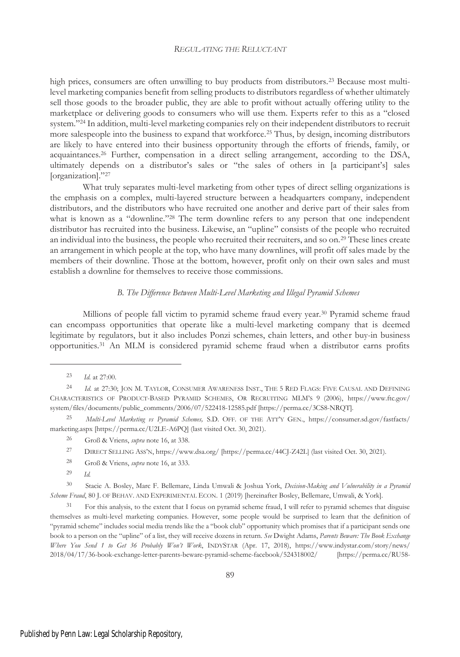high prices, consumers are often unwilling to buy products from distributors.<sup>23</sup> Because most multilevel marketing companies benefit from selling products to distributors regardless of whether ultimately sell those goods to the broader public, they are able to profit without actually offering utility to the marketplace or delivering goods to consumers who will use them. Experts refer to this as a "closed system."<sup>24</sup> In addition, multi-level marketing companies rely on their independent distributors to recruit more salespeople into the business to expand that workforce.<sup>25</sup> Thus, by design, incoming distributors are likely to have entered into their business opportunity through the efforts of friends, family, or acquaintances.<sup>26</sup> Further, compensation in a direct selling arrangement, according to the DSA, ultimately depends on a distributor's sales or "the sales of others in [a participant's] sales [organization]."<sup>27</sup>

What truly separates multi-level marketing from other types of direct selling organizations is the emphasis on a complex, multi-layered structure between a headquarters company, independent distributors, and the distributors who have recruited one another and derive part of their sales from what is known as a "downline."<sup>28</sup> The term downline refers to any person that one independent distributor has recruited into the business. Likewise, an "upline" consists of the people who recruited an individual into the business, the people who recruited their recruiters, and so on.<sup>29</sup> These lines create an arrangement in which people at the top, who have many downlines, will profit off sales made by the members of their downline. Those at the bottom, however, profit only on their own sales and must establish a downline for themselves to receive those commissions.

#### *B. The Difference Between Multi-Level Marketing and Illegal Pyramid Schemes*

Millions of people fall victim to pyramid scheme fraud every year.<sup>30</sup> Pyramid scheme fraud can encompass opportunities that operate like a multi-level marketing company that is deemed legitimate by regulators, but it also includes Ponzi schemes, chain letters, and other buy-in business opportunities.<sup>31</sup> An MLM is considered pyramid scheme fraud when a distributor earns profits

- <sup>27</sup> DIRECT SELLING ASS'N, https://www.dsa.org/ [https://perma.cc/44CJ-Z42L] (last visited Oct. 30, 2021)*.*
- <sup>28</sup> Groß & Vriens, *supra* note 16, at 333.
- <sup>29</sup> *Id.*

<sup>30</sup> Stacie A. Bosley, Marc F. Bellemare, Linda Umwali & Joshua York, *Decision-Making and Vulnerability in a Pyramid Scheme Fraud*, 80 J. OF BEHAV. AND EXPERIMENTAL ECON. 1 (2019) [hereinafter Bosley, Bellemare, Umwali, & York].

<sup>31</sup> For this analysis, to the extent that I focus on pyramid scheme fraud, I will refer to pyramid schemes that disguise themselves as multi-level marketing companies. However, some people would be surprised to learn that the definition of "pyramid scheme" includes social media trends like the a "book club" opportunity which promises that if a participant sends one book to a person on the "upline" of a list, they will receive dozens in return. *See* Dwight Adams, *Parents Beware: The Book Exchange Where You Send 1 to Get 36 Probably Won't Work*, INDYSTAR (Apr. 17, 2018), https://www.indystar.com/story/news/ 2018/04/17/36-book-exchange-letter-parents-beware-pyramid-scheme-facebook/524318002/ [https://perma.cc/RU58-

<sup>23</sup> *Id*. at 27:00.

<sup>24</sup> *Id*. at 27:30; JON M. TAYLOR, CONSUMER AWARENESS INST., THE 5 RED FLAGS: FIVE CAUSAL AND DEFINING CHARACTERISTICS OF PRODUCT-BASED PYRAMID SCHEMES, OR RECRUITING MLM'S 9 (2006), https://www.ftc.gov/ system/files/documents/public\_comments/2006/07/522418-12585.pdf [https://perma.cc/3CS8-NRQT].

<sup>25</sup> *Multi-Level Marketing vs Pyramid Schemes,* S.D. OFF. OF THE ATT'<sup>Y</sup> GEN., https://consumer.sd.gov/fastfacts/ marketing.aspx [https://perma.cc/U2LE-A6PQ] (last visited Oct. 30, 2021).

<sup>26</sup> Groß & Vriens, *supra* note 16, at 338.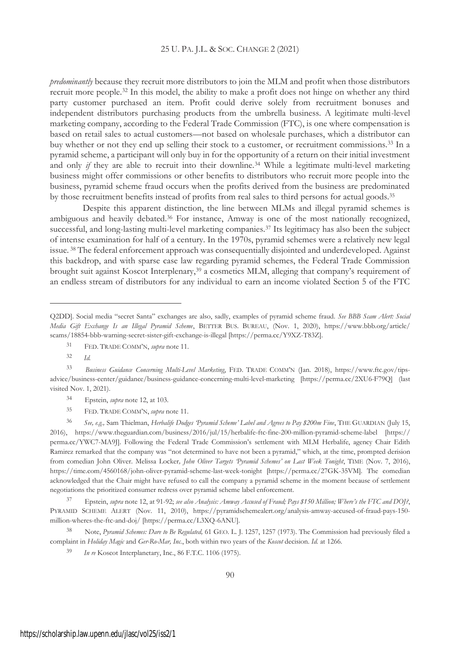*predominantly* because they recruit more distributors to join the MLM and profit when those distributors recruit more people.<sup>32</sup> In this model, the ability to make a profit does not hinge on whether any third party customer purchased an item. Profit could derive solely from recruitment bonuses and independent distributors purchasing products from the umbrella business. A legitimate multi-level marketing company, according to the Federal Trade Commission (FTC), is one where compensation is based on retail sales to actual customers—not based on wholesale purchases, which a distributor can buy whether or not they end up selling their stock to a customer, or recruitment commissions.<sup>33</sup> In a pyramid scheme, a participant will only buy in for the opportunity of a return on their initial investment and only *if* they are able to recruit into their downline.<sup>34</sup> While a legitimate multi-level marketing business might offer commissions or other benefits to distributors who recruit more people into the business, pyramid scheme fraud occurs when the profits derived from the business are predominated by those recruitment benefits instead of profits from real sales to third persons for actual goods.<sup>35</sup>

Despite this apparent distinction, the line between MLMs and illegal pyramid schemes is ambiguous and heavily debated.<sup>36</sup> For instance, Amway is one of the most nationally recognized, successful, and long-lasting multi-level marketing companies.<sup>37</sup> Its legitimacy has also been the subject of intense examination for half of a century. In the 1970s, pyramid schemes were a relatively new legal issue. <sup>38</sup> The federal enforcement approach was consequentially disjointed and underdeveloped. Against this backdrop, and with sparse case law regarding pyramid schemes, the Federal Trade Commission brought suit against Koscot Interplenary,<sup>39</sup> a cosmetics MLM, alleging that company's requirement of an endless stream of distributors for any individual to earn an income violated Section 5 of the FTC

Q2DD]. Social media "secret Santa" exchanges are also, sadly, examples of pyramid scheme fraud. *See BBB Scam Alert: Social Media Gift Exchange Is an Illegal Pyramid Scheme*, BETTER BUS. BUREAU, (Nov. 1, 2020), https://www.bbb.org/article/ scams/18854-bbb-warning-secret-sister-gift-exchange-is-illegal [https://perma.cc/Y9XZ-T83Z].

<sup>31</sup> FED. TRADE COMM'N, *supra* note 11.

<sup>32</sup> *Id.*

<sup>33</sup> *Business Guidance Concerning Multi-Level Marketing*, FED. TRADE COMM'<sup>N</sup> (Jan. 2018), https://www.ftc.gov/tipsadvice/business-center/guidance/business-guidance-concerning-multi-level-marketing [https://perma.cc/2XU6-F79Q] (last visited Nov. 1, 2021).

<sup>34</sup> Epstein, *supra* note 12, at 103.

<sup>35</sup> FED. TRADE COMM'N, *supra* note 11.

<sup>36</sup> *See, e.g.,* Sam Thielman, *Herbalife Dodges 'Pyramid Scheme' Label and Agrees to Pay \$200m Fine*, THE GUARDIAN (July 15, 2016), https://www.theguardian.com/business/2016/jul/15/herbalife-ftc-fine-200-million-pyramid-scheme-label [https:// perma.cc/YWC7-MA9J]. Following the Federal Trade Commission's settlement with MLM Herbalife, agency Chair Edith Ramirez remarked that the company was "not determined to have not been a pyramid," which, at the time, prompted derision from comedian John Oliver. Melissa Locker*, John Oliver Targets 'Pyramid Schemes' on Last Week Tonight*, TIME (Nov. 7, 2016), https://time.com/4560168/john-oliver-pyramid-scheme-last-week-tonight [https://perma.cc/27GK-35VM]. The comedian acknowledged that the Chair might have refused to call the company a pyramid scheme in the moment because of settlement negotiations the prioritized consumer redress over pyramid scheme label enforcement.

<sup>&</sup>lt;sup>37</sup> Epstein, supra note 12, at 91-92; see also Analysis: Amway Accused of Frand; Pays \$150 Million; Where's the FTC and DOJ?, PYRAMID SCHEME ALERT (Nov. 11, 2010), https://pyramidschemealert.org/analysis-amway-accused-of-fraud-pays-150 million-wheres-the-ftc-and-doj/ [https://perma.cc/L3XQ-6ANU].

<sup>38</sup> Note, *Pyramid Schemes: Dare to Be Regulated,* 61 GEO. L. J. 1257, 1257 (1973). The Commission had previously filed a complaint in *Holiday Magic* and *Ger-Ro-Mar, Inc.*, both within two years of the *Koscot* decision. *Id.* at 1266.

<sup>39</sup> *In re* Koscot Interplanetary, Inc., 86 F.T.C. 1106 (1975).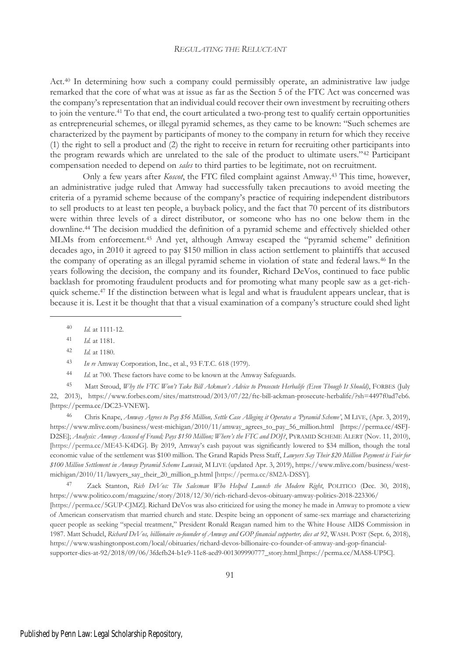Act.<sup>40</sup> In determining how such a company could permissibly operate, an administrative law judge remarked that the core of what was at issue as far as the Section 5 of the FTC Act was concerned was the company's representation that an individual could recover their own investment by recruiting others to join the venture.<sup>41</sup> To that end, the court articulated a two-prong test to qualify certain opportunities as entrepreneurial schemes, or illegal pyramid schemes, as they came to be known: "Such schemes are characterized by the payment by participants of money to the company in return for which they receive (1) the right to sell a product and (2) the right to receive in return for recruiting other participants into the program rewards which are unrelated to the sale of the product to ultimate users."<sup>42</sup> Participant compensation needed to depend on *sales* to third parties to be legitimate, not on recruitment.

Only a few years after *Koscot*, the FTC filed complaint against Amway.<sup>43</sup> This time, however, an administrative judge ruled that Amway had successfully taken precautions to avoid meeting the criteria of a pyramid scheme because of the company's practice of requiring independent distributors to sell products to at least ten people, a buyback policy, and the fact that 70 percent of its distributors were within three levels of a direct distributor, or someone who has no one below them in the downline.<sup>44</sup> The decision muddied the definition of a pyramid scheme and effectively shielded other MLMs from enforcement.<sup>45</sup> And yet, although Amway escaped the "pyramid scheme" definition decades ago, in 2010 it agreed to pay \$150 million in class action settlement to plaintiffs that accused the company of operating as an illegal pyramid scheme in violation of state and federal laws.<sup>46</sup> In the years following the decision, the company and its founder, Richard DeVos, continued to face public backlash for promoting fraudulent products and for promoting what many people saw as a get-richquick scheme.<sup>47</sup> If the distinction between what is legal and what is fraudulent appears unclear, that is because it is. Lest it be thought that that a visual examination of a company's structure could shed light

<sup>46</sup> Chris Knape, *Amway Agrees to Pay \$56 Million, Settle Case Alleging it Operates a 'Pyramid Scheme'*, M LIVE, (Apr. 3, 2019), https://www.mlive.com/business/west-michigan/2010/11/amway\_agrees\_to\_pay\_56\_million.html [https://perma.cc/4SFJ-D2SE]; *Analysis: Amway Accused of Fraud; Pays \$150 Million; Where's the FTC and DOJ?*, PYRAMID SCHEME ALERT (Nov. 11, 2010), [https://perma.cc/ME43-K4DG]. By 2019, Amway's cash payout was significantly lowered to \$34 million, though the total economic value of the settlement was \$100 million. The Grand Rapids Press Staff, *Lawyers Say Their \$20 Million Payment is Fair for \$100 Million Settlement in Amway Pyramid Scheme Lawsuit*, M LIVE (updated Apr. 3, 2019), https://www.mlive.com/business/westmichigan/2010/11/lawyers\_say\_their\_20\_million\_p.html [https://perma.cc/8M2A-DSSY].

<sup>47</sup> Zack Stanton, *Rich DeVos: The Salesman Who Helped Launch the Modern Right*, POLITICO (Dec. 30, 2018), https://www.politico.com/magazine/story/2018/12/30/rich-richard-devos-obituary-amway-politics-2018-223306/ [https://perma.cc/5GUP-CJMZ]. Richard DeVos was also criticized for using the money he made in Amway to promote a view of American conservatism that married church and state. Despite being an opponent of same-sex marriage and characterizing queer people as seeking "special treatment," President Ronald Reagan named him to the White House AIDS Commission in 1987. Matt Schudel, *Richard DeVos, billionaire co-founder of Amway and GOP financial supporter, dies at 92*, WASH. POST (Sept. 6, 2018), https://www.washingtonpost.com/local/obituaries/richard-devos-billionaire-co-founder-of-amway-and-gop-financial-

<sup>40</sup> *Id.* at 1111-12.

<sup>41</sup> *Id.* at 1181.

<sup>42</sup> *Id.* at 1180.

<sup>43</sup> *In re* Amway Corporation, Inc., et al., 93 F.T.C. 618 (1979).

<sup>44</sup> *Id.* at 700. These factors have come to be known at the Amway Safeguards.

<sup>45</sup> Matt Stroud, *Why the FTC Won't Take Bill Ackman's Advice to Prosecute Herbalife (Even Though It Should)*, FORBES (July 22, 2013), https://www.forbes.com/sites/mattstroud/2013/07/22/ftc-bill-ackman-prosecute-herbalife/?sh=4497f0ad7eb6. [https://perma.cc/DC23-VNEW]**.**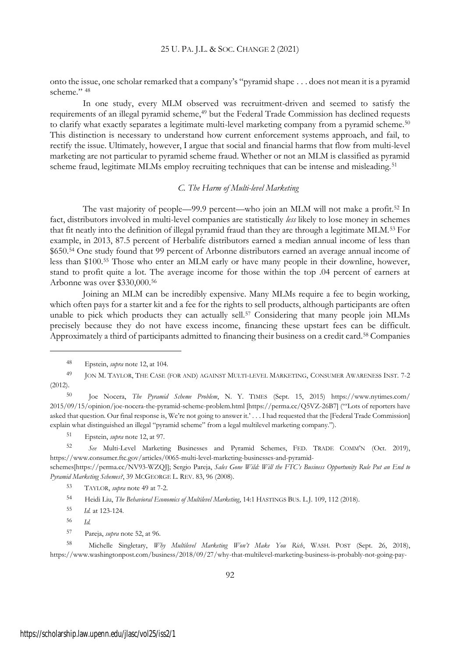onto the issue, one scholar remarked that a company's "pyramid shape . . . does not mean it is a pyramid scheme." 48

In one study, every MLM observed was recruitment-driven and seemed to satisfy the requirements of an illegal pyramid scheme,<sup>49</sup> but the Federal Trade Commission has declined requests to clarify what exactly separates a legitimate multi-level marketing company from a pyramid scheme.<sup>50</sup> This distinction is necessary to understand how current enforcement systems approach, and fail, to rectify the issue. Ultimately, however, I argue that social and financial harms that flow from multi-level marketing are not particular to pyramid scheme fraud. Whether or not an MLM is classified as pyramid scheme fraud, legitimate MLMs employ recruiting techniques that can be intense and misleading.<sup>51</sup>

## *C. The Harm of Multi-level Marketing*

The vast majority of people—99.9 percent—who join an MLM will not make a profit.<sup>52</sup> In fact, distributors involved in multi-level companies are statistically *less* likely to lose money in schemes that fit neatly into the definition of illegal pyramid fraud than they are through a legitimate MLM.<sup>53</sup> For example, in 2013, 87.5 percent of Herbalife distributors earned a median annual income of less than \$650.<sup>54</sup> One study found that 99 percent of Arbonne distributors earned an average annual income of less than \$100.<sup>55</sup> Those who enter an MLM early or have many people in their downline, however, stand to profit quite a lot. The average income for those within the top .04 percent of earners at Arbonne was over \$330,000.<sup>56</sup>

Joining an MLM can be incredibly expensive. Many MLMs require a fee to begin working, which often pays for a starter kit and a fee for the rights to sell products, although participants are often unable to pick which products they can actually sell.<sup>57</sup> Considering that many people join MLMs precisely because they do not have excess income, financing these upstart fees can be difficult. Approximately a third of participants admitted to financing their business on a credit card.<sup>58</sup> Companies

<sup>51</sup> Epstein, *supra* note 12, at 97.

<sup>52</sup> *See* Multi-Level Marketing Businesses and Pyramid Schemes, FED. TRADE COMM'<sup>N</sup> (Oct. 2019), https://www.consumer.ftc.gov/articles/0065-multi-level-marketing-businesses-and-pyramid-

schemes[https://perma.cc/NV93-WZQJ]; Sergio Pareja, *Sales Gone Wild: Will the FTC's Business Opportunity Rule Put an End to Pyramid Marketing Schemes?*, 39 MCGEORGE L. REV. 83, 96 (2008).

<sup>48</sup> Epstein, *supra* note 12, at 104.

<sup>49</sup> JON M. TAYLOR, THE CASE (FOR AND) AGAINST MULTI-LEVEL MARKETING, CONSUMER AWARENESS INST. 7-2 (2012).

<sup>50</sup> Joe Nocera, *The Pyramid Scheme Problem*, N. Y. TIMES (Sept. 15, 2015) https://www.nytimes.com/ 2015/09/15/opinion/joe-nocera-the-pyramid-scheme-problem.html [https://perma.cc/Q5VZ-26B7] ("'Lots of reporters have asked that question. Our final response is, We're not going to answer it.' . . . I had requested that the [Federal Trade Commission] explain what distinguished an illegal "pyramid scheme" from a legal multilevel marketing company.").

<sup>53</sup> TAYLOR, *supra* note 49 at 7-2.

<sup>54</sup> Heidi Liu, *The Behavioral Economics of Multilevel Marketing*, 14:1 HASTINGS BUS. L.J. 109, 112 (2018).

<sup>55</sup> *Id.* at 123-124.

<sup>56</sup> *Id.*

<sup>57</sup> Pareja, *supra* note 52, at 96.

<sup>58</sup> Michelle Singletary, *Why Multilevel Marketing Won't Make You Rich*, WASH. POST (Sept. 26, 2018), https://www.washingtonpost.com/business/2018/09/27/why-that-multilevel-marketing-business-is-probably-not-going-pay-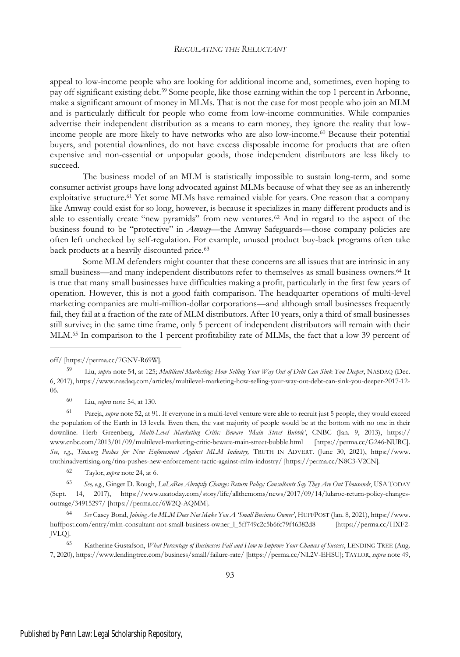appeal to low-income people who are looking for additional income and, sometimes, even hoping to pay off significant existing debt.<sup>59</sup> Some people, like those earning within the top 1 percent in Arbonne, make a significant amount of money in MLMs. That is not the case for most people who join an MLM and is particularly difficult for people who come from low-income communities. While companies advertise their independent distribution as a means to earn money, they ignore the reality that lowincome people are more likely to have networks who are also low-income.<sup>60</sup> Because their potential buyers, and potential downlines, do not have excess disposable income for products that are often expensive and non-essential or unpopular goods, those independent distributors are less likely to succeed.

The business model of an MLM is statistically impossible to sustain long-term, and some consumer activist groups have long advocated against MLMs because of what they see as an inherently exploitative structure.<sup>61</sup> Yet some MLMs have remained viable for years. One reason that a company like Amway could exist for so long, however, is because it specializes in many different products and is able to essentially create "new pyramids" from new ventures.<sup>62</sup> And in regard to the aspect of the business found to be "protective" in *Amway*—the Amway Safeguards—those company policies are often left unchecked by self-regulation. For example, unused product buy-back programs often take back products at a heavily discounted price.<sup>63</sup>

Some MLM defenders might counter that these concerns are all issues that are intrinsic in any small business—and many independent distributors refer to themselves as small business owners.<sup>64</sup> It is true that many small businesses have difficulties making a profit, particularly in the first few years of operation. However, this is not a good faith comparison. The headquarter operations of multi-level marketing companies are multi-million-dollar corporations—and although small businesses frequently fail, they fail at a fraction of the rate of MLM distributors. After 10 years, only a third of small businesses still survive; in the same time frame, only 5 percent of independent distributors will remain with their MLM.<sup>65</sup> In comparison to the 1 percent profitability rate of MLMs, the fact that a low 39 percent of

<sup>60</sup> Liu, *supra* note 54, at 130.

<sup>61</sup> Pareja, *supra* note 52, at 91. If everyone in a multi-level venture were able to recruit just 5 people, they would exceed the population of the Earth in 13 levels. Even then, the vast majority of people would be at the bottom with no one in their downline. Herb Greenberg, *Multi-Level Marketing Critic: Beware 'Main Street Bubble'*, CNBC (Jan. 9, 2013), https:// www.cnbc.com/2013/01/09/multilevel-marketing-critic-beware-main-street-bubble.html [https://perma.cc/G246-NURC]. *See, e.g.*, *Tina.org Pushes for New Enforcement Against MLM Industry,* TRUTH IN ADVERT. (June 30, 2021), https://www. truthinadvertising.org/tina-pushes-new-enforcement-tactic-against-mlm-industry/ [https://perma.cc/N8C3-V2CN].

<sup>62</sup> Taylor, *supra* note 24, at 6.

<sup>65</sup> Katherine Gustafson, *What Percentage of Businesses Fail and How to Improve Your Chances of Success*, LENDING TREE (Aug. 7, 2020), https://www.lendingtree.com/business/small/failure-rate/ [https://perma.cc/NL2V-EHSU]; TAYLOR, *supra* note 49,

off/ [https://perma.cc/7GNV-R69W].

<sup>59</sup> Liu, *supra* note 54, at 125; *Multilevel Marketing: How Selling Your Way Out of Debt Can Sink You Deeper*, NASDAQ (Dec. 6, 2017), https://www.nasdaq.com/articles/multilevel-marketing-how-selling-your-way-out-debt-can-sink-you-deeper-2017-12- 06.

<sup>63</sup> *See, e.g.*, Ginger D. Rough, *LuLaRoe Abruptly Changes Return Policy; Consultants Say They Are Out Thousands*, USA TODAY (Sept. 14, 2017), https://www.usatoday.com/story/life/allthemoms/news/2017/09/14/lularoe-return-policy-changesoutrage/34915297/ [https://perma.cc/6W2Q-AQMM].

<sup>64</sup> *See* Casey Bond, *Joining An MLM Does Not Make You A 'Small Business Owner'*, HUFFPOST (Jan. 8, 2021), https://www. huffpost.com/entry/mlm-consultant-not-small-business-owner\_l\_5ff749c2c5b6fc79f46382d8 [https://perma.cc/HXF2- JVLQ].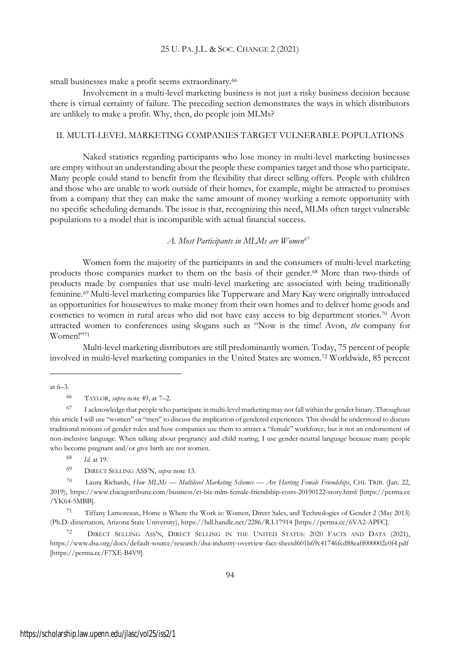small businesses make a profit seems extraordinary.<sup>66</sup>

Involvement in a multi-level marketing business is not just a risky business decision because there is virtual certainty of failure. The preceding section demonstrates the ways in which distributors are unlikely to make a profit. Why, then, do people join MLMs?

## II. MULTI-LEVEL MARKETING COMPANIES TARGET VULNERABLE POPULATIONS

Naked statistics regarding participants who lose money in multi-level marketing businesses are empty without an understanding about the people these companies target and those who participate. Many people could stand to benefit from the flexibility that direct selling offers. People with children and those who are unable to work outside of their homes, for example, might be attracted to promises from a company that they can make the same amount of money working a remote opportunity with no specific scheduling demands. The issue is that, recognizing this need, MLMs often target vulnerable populations to a model that is incompatible with actual financial success.

*A. Most Participants in MLMs are Women<sup>67</sup>*

Women form the majority of the participants in and the consumers of multi-level marketing products those companies market to them on the basis of their gender.<sup>68</sup> More than two-thirds of products made by companies that use multi-level marketing are associated with being traditionally feminine.<sup>69</sup> Multi-level marketing companies like Tupperware and Mary Kay were originally introduced as opportunities for housewives to make money from their own homes and to deliver home goods and cosmetics to women in rural areas who did not have easy access to big department stories.<sup>70</sup> Avon attracted women to conferences using slogans such as "Now is the time! Avon, *the* company for Women!"<sup>71</sup>

Multi-level marketing distributors are still predominantly women. Today, 75 percent of people involved in multi-level marketing companies in the United States are women.<sup>72</sup> Worldwide, 85 percent

at 6–3.

<sup>68</sup> *Id.* at 19.

<sup>69</sup> DIRECT SELLING ASS'N, *supra* note 13.

<sup>70</sup> Laura Richards, *How MLMs — Multilevel Marketing Schemes — Are Hurting Female Friendships*, CHI. TRIB. (Jan. 22, 2019), https://www.chicagotribune.com/business/ct-biz-mlm-female-friendship-costs-20190122-story.html [https://perma.cc /YK64-5MBB].

<sup>71</sup> Tiffany Lamoreaux, Home is Where the Work is: Women, Direct Sales, and Technologies of Gender 2 (May 2013) (Ph.D. dissertation, Arizona State University), https://hdl.handle.net/2286/R.I.17914 [https://perma.cc/6VA2-APFC].

<sup>72</sup> DIRECT SELLING ASS'N, DIRECT SELLING IN THE UNITED STATES: 2020 FACTS AND DATA (2021), https://www.dsa.org/docs/default-source/research/dsa-industry-overview-fact-sheetd601b69c41746fcd88eaff000002c0f4.pdf [https://perma.cc/F7XE-B4V9].

<sup>66</sup> TAYLOR, *supra* note 49, at 7–2.

<sup>67</sup> I acknowledge that people who participate in multi-level marketing may not fall within the gender binary. Throughout this article I will use "women" or "men" to discuss the implication of gendered experiences. This should be understood to discuss traditional notions of gender roles and how companies use them to attract a "female" workforce, but it not an endorsement of non-inclusive language. When talking about pregnancy and child rearing, I use gender-neutral language because many people who become pregnant and/or give birth are not women.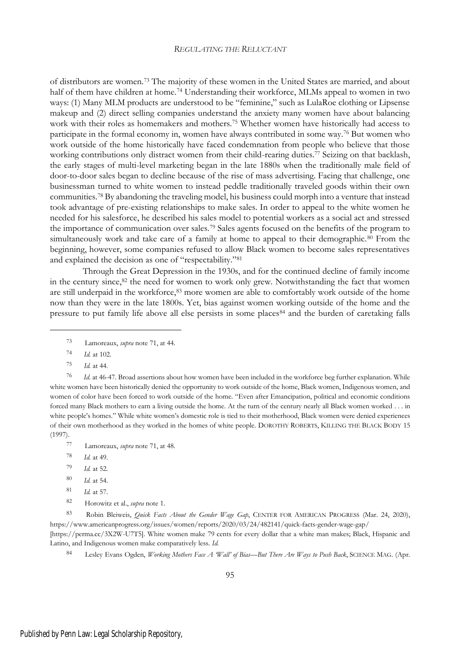of distributors are women.<sup>73</sup> The majority of these women in the United States are married, and about half of them have children at home.<sup>74</sup> Understanding their workforce, MLMs appeal to women in two ways: (1) Many MLM products are understood to be "feminine," such as LulaRoe clothing or Lipsense makeup and (2) direct selling companies understand the anxiety many women have about balancing work with their roles as homemakers and mothers.<sup>75</sup> Whether women have historically had access to participate in the formal economy in, women have always contributed in some way.<sup>76</sup> But women who work outside of the home historically have faced condemnation from people who believe that those working contributions only distract women from their child-rearing duties.<sup>77</sup> Seizing on that backlash, the early stages of multi-level marketing began in the late 1880s when the traditionally male field of door-to-door sales began to decline because of the rise of mass advertising. Facing that challenge, one businessman turned to white women to instead peddle traditionally traveled goods within their own communities.<sup>78</sup> By abandoning the traveling model, his business could morph into a venture that instead took advantage of pre-existing relationships to make sales. In order to appeal to the white women he needed for his salesforce, he described his sales model to potential workers as a social act and stressed the importance of communication over sales.<sup>79</sup> Sales agents focused on the benefits of the program to simultaneously work and take care of a family at home to appeal to their demographic.<sup>80</sup> From the beginning, however, some companies refused to allow Black women to become sales representatives and explained the decision as one of "respectability."<sup>81</sup>

Through the Great Depression in the 1930s, and for the continued decline of family income in the century since, $82$  the need for women to work only grew. Notwithstanding the fact that women are still underpaid in the workforce,<sup>83</sup> more women are able to comfortably work outside of the home now than they were in the late 1800s. Yet, bias against women working outside of the home and the pressure to put family life above all else persists in some places<sup>84</sup> and the burden of caretaking falls

<sup>76</sup> *Id.* at 46-47. Broad assertions about how women have been included in the workforce beg further explanation. While white women have been historically denied the opportunity to work outside of the home, Black women, Indigenous women, and women of color have been forced to work outside of the home. "Even after Emancipation, political and economic conditions forced many Black mothers to earn a living outside the home. At the turn of the century nearly all Black women worked . . . in white people's homes." While white women's domestic role is tied to their motherhood, Black women were denied experiences of their own motherhood as they worked in the homes of white people. DOROTHY ROBERTS, KILLING THE BLACK BODY 15 (1997).

- <sup>80</sup> *Id.* at 54.
- <sup>81</sup> *Id.* at 57.
- <sup>82</sup> Horowitz et al., *supra* note 1.

<sup>83</sup> Robin Bleiweis, *Quick Facts About the Gender Wage Gap*, CENTER FOR AMERICAN PROGRESS (Mar. 24, 2020), https://www.americanprogress.org/issues/women/reports/2020/03/24/482141/quick-facts-gender-wage-gap/

[https://perma.cc/3X2W-U7T5]. White women make 79 cents for every dollar that a white man makes; Black, Hispanic and Latino, and Indigenous women make comparatively less. *Id.*

<sup>84</sup> Lesley Evans Ogden, *Working Mothers Face A 'Wall' of Bias—But There Are Ways to Push Back*, SCIENCE MAG. (Apr.

<sup>73</sup> Lamoreaux, *supra* note 71, at 44.

<sup>74</sup> *Id.* at 102.

<sup>75</sup> *Id.* at 44.

<sup>77</sup> Lamoreaux, *supra* note 71, at 48.

<sup>78</sup> *Id.* at 49.

<sup>79</sup> *Id.* at 52.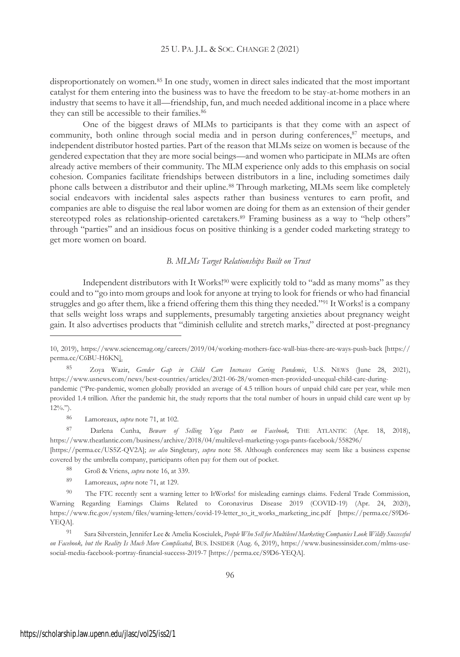disproportionately on women.<sup>85</sup> In one study, women in direct sales indicated that the most important catalyst for them entering into the business was to have the freedom to be stay-at-home mothers in an industry that seems to have it all—friendship, fun, and much needed additional income in a place where they can still be accessible to their families.<sup>86</sup>

One of the biggest draws of MLMs to participants is that they come with an aspect of community, both online through social media and in person during conferences,<sup>87</sup> meetups, and independent distributor hosted parties. Part of the reason that MLMs seize on women is because of the gendered expectation that they are more social beings—and women who participate in MLMs are often already active members of their community. The MLM experience only adds to this emphasis on social cohesion. Companies facilitate friendships between distributors in a line, including sometimes daily phone calls between a distributor and their upline.<sup>88</sup> Through marketing, MLMs seem like completely social endeavors with incidental sales aspects rather than business ventures to earn profit, and companies are able to disguise the real labor women are doing for them as an extension of their gender stereotyped roles as relationship-oriented caretakers.<sup>89</sup> Framing business as a way to "help others" through "parties" and an insidious focus on positive thinking is a gender coded marketing strategy to get more women on board.

## *B. MLMs Target Relationships Built on Trust*

Independent distributors with It Works!<sup>90</sup> were explicitly told to "add as many moms" as they could and to "go into mom groups and look for anyone at trying to look for friends or who had financial struggles and go after them, like a friend offering them this thing they needed."<sup>91</sup> It Works! is a company that sells weight loss wraps and supplements, presumably targeting anxieties about pregnancy weight gain. It also advertises products that "diminish cellulite and stretch marks," directed at post-pregnancy

<sup>86</sup> Lamoreaux, *supra* note 71, at 102.

<sup>87</sup> Darlena Cunha, *Beware of Selling Yoga Pants on Facebook,* THE ATLANTIC (Apr. 18, 2018), https://www.theatlantic.com/business/archive/2018/04/multilevel-marketing-yoga-pants-facebook/558296/

[https://perma.cc/US5Z-QV2A]; *see also* Singletary, *supra* note 58. Although conferences may seem like a business expense covered by the umbrella company, participants often pay for them out of pocket.

- <sup>88</sup> Groß & Vriens, *supra* note 16, at 339.
- <sup>89</sup> Lamoreaux, *supra* note 71, at 129.

<sup>10, 2019),</sup> https://www.sciencemag.org/careers/2019/04/working-mothers-face-wall-bias-there-are-ways-push-back [https:// perma.cc/C6BU-H6KN].

<sup>85</sup> Zoya Wazir, *Gender Gap in Child Care Increases Curing Pandemic*, U.S. NEWS (June 28, 2021), https://www.usnews.com/news/best-countries/articles/2021-06-28/women-men-provided-unequal-child-care-duringpandemic ("Pre-pandemic, women globally provided an average of 4.5 trillion hours of unpaid child care per year, while men provided 1.4 trillion. After the pandemic hit, the study reports that the total number of hours in unpaid child care went up by  $12\%$ .").

<sup>90</sup> The FTC recently sent a warning letter to ItWorks! for misleading earnings claims. Federal Trade Commission, Warning Regarding Earnings Claims Related to Coronavirus Disease 2019 (COVID-19) (Apr. 24, 2020), https://www.ftc.gov/system/files/warning-letters/covid-19-letter\_to\_it\_works\_marketing\_inc.pdf [https://perma.cc/S9D6- YEQA].

<sup>91</sup> Sara Silverstein, Jennifer Lee & Amelia Kosciulek, *People Who Sell for Multilevel Marketing Companies Look Wildly Successful on Facebook, but the Reality Is Much More Complicated*, BUS. INSIDER (Aug. 6, 2019), https://www.businessinsider.com/mlms-usesocial-media-facebook-portray-financial-success-2019-7 [https://perma.cc/S9D6-YEQA].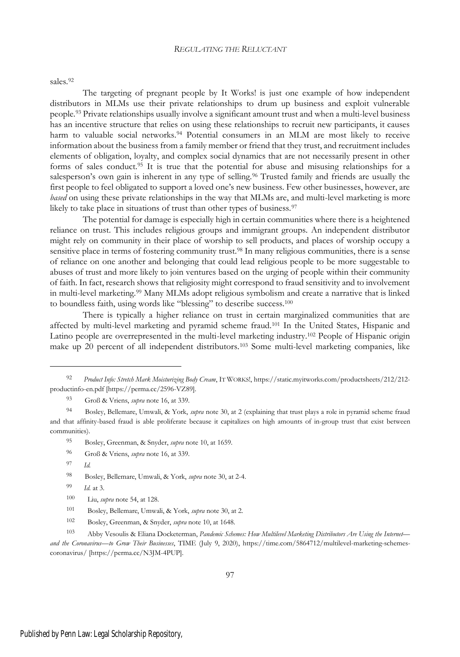sales.<sup>92</sup>

The targeting of pregnant people by It Works! is just one example of how independent distributors in MLMs use their private relationships to drum up business and exploit vulnerable people.<sup>93</sup> Private relationships usually involve a significant amount trust and when a multi-level business has an incentive structure that relies on using these relationships to recruit new participants, it causes harm to valuable social networks.<sup>94</sup> Potential consumers in an MLM are most likely to receive information about the business from a family member or friend that they trust, and recruitment includes elements of obligation, loyalty, and complex social dynamics that are not necessarily present in other forms of sales conduct.<sup>95</sup> It is true that the potential for abuse and misusing relationships for a salesperson's own gain is inherent in any type of selling.<sup>96</sup> Trusted family and friends are usually the first people to feel obligated to support a loved one's new business. Few other businesses, however, are *based* on using these private relationships in the way that MLMs are, and multi-level marketing is more likely to take place in situations of trust than other types of business.<sup>97</sup>

The potential for damage is especially high in certain communities where there is a heightened reliance on trust. This includes religious groups and immigrant groups. An independent distributor might rely on community in their place of worship to sell products, and places of worship occupy a sensitive place in terms of fostering community trust.<sup>98</sup> In many religious communities, there is a sense of reliance on one another and belonging that could lead religious people to be more suggestable to abuses of trust and more likely to join ventures based on the urging of people within their community of faith. In fact, research shows that religiosity might correspond to fraud sensitivity and to involvement in multi-level marketing.<sup>99</sup> Many MLMs adopt religious symbolism and create a narrative that is linked to boundless faith, using words like "blessing" to describe success.<sup>100</sup>

There is typically a higher reliance on trust in certain marginalized communities that are affected by multi-level marketing and pyramid scheme fraud.<sup>101</sup> In the United States, Hispanic and Latino people are overrepresented in the multi-level marketing industry.<sup>102</sup> People of Hispanic origin make up 20 percent of all independent distributors.<sup>103</sup> Some multi-level marketing companies, like

- <sup>96</sup> Groß & Vriens, *supra* note 16, at 339.
- <sup>97</sup> *Id.*

- <sup>99</sup> *Id*. at 3.
- <sup>100</sup> Liu, *supra* note 54, at 128.

<sup>92</sup> *Product Info: Stretch Mark Moisturizing Body Cream*, I<sup>T</sup> WORKS!, https://static.myitworks.com/productsheets/212/212 productinfo-en.pdf [https://perma.cc/2596-VZ89].

<sup>93</sup> Groß & Vriens, *supra* note 16, at 339.

<sup>94</sup> Bosley, Bellemare, Umwali, & York, *supra* note 30, at 2 (explaining that trust plays a role in pyramid scheme fraud and that affinity-based fraud is able proliferate because it capitalizes on high amounts of in-group trust that exist between communities).

<sup>95</sup> Bosley, Greenman, & Snyder, *supra* note 10, at 1659.

<sup>98</sup> Bosley, Bellemare, Umwali, & York, *supra* note 30, at 2-4.

<sup>101</sup> Bosley, Bellemare, Umwali, & York, *supra* note 30, at 2.

<sup>102</sup> Bosley, Greenman, & Snyder, *supra* note 10, at 1648.

<sup>103</sup> Abby Vesoulis & Eliana Docketerman, *Pandemic Schemes: How Multilevel Marketing Distributors Are Using the Internet and the Coronavirus—to Grow Their Businesses*, TIME (July 9, 2020), https://time.com/5864712/multilevel-marketing-schemescoronavirus/ [https://perma.cc/N3JM-4PUP].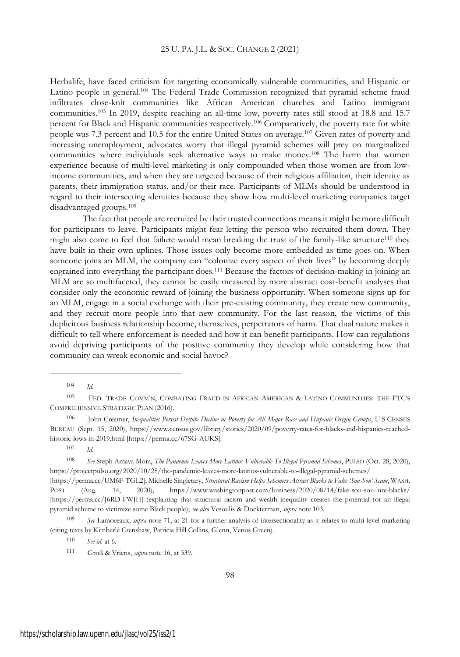Herbalife, have faced criticism for targeting economically vulnerable communities, and Hispanic or Latino people in general.<sup>104</sup> The Federal Trade Commission recognized that pyramid scheme fraud infiltrates close-knit communities like African American churches and Latino immigrant communities.<sup>105</sup> In 2019, despite reaching an all-time low, poverty rates still stood at 18.8 and 15.7 percent for Black and Hispanic communities respectively.<sup>106</sup> Comparatively, the poverty rate for white people was 7.3 percent and 10.5 for the entire United States on average.<sup>107</sup> Given rates of poverty and increasing unemployment, advocates worry that illegal pyramid schemes will prey on marginalized communities where individuals seek alternative ways to make money.<sup>108</sup> The harm that women experience because of multi-level marketing is only compounded when those women are from lowincome communities, and when they are targeted because of their religious affiliation, their identity as parents, their immigration status, and/or their race. Participants of MLMs should be understood in regard to their intersecting identities because they show how multi-level marketing companies target disadvantaged groups.<sup>109</sup>

The fact that people are recruited by their trusted connections means it might be more difficult for participants to leave. Participants might fear letting the person who recruited them down. They might also come to feel that failure would mean breaking the trust of the family-like structure<sup>110</sup> they have built in their own uplines. Those issues only become more embedded as time goes on. When someone joins an MLM, the company can "colonize every aspect of their lives" by becoming deeply engrained into everything the participant does.<sup>111</sup> Because the factors of decision-making in joining an MLM are so multifaceted, they cannot be easily measured by more abstract cost-benefit analyses that consider only the economic reward of joining the business opportunity. When someone signs up for an MLM, engage in a social exchange with their pre-existing community, they create new community, and they recruit more people into that new community. For the last reason, the victims of this duplicitous business relationship become, themselves, perpetrators of harm. That dual nature makes it difficult to tell where enforcement is needed and how it can benefit participants. How can regulations avoid depriving participants of the positive community they develop while considering how that community can wreak economic and social havoc?

<sup>104</sup> *Id*.

<sup>105</sup> FED. TRADE COMM'N, COMBATING FRAUD IN AFRICAN AMERICAN & LATINO COMMUNITIES: THE FTC'<sup>S</sup> COMPREHENSIVE STRATEGIC PLAN (2016).

<sup>106</sup> John Creamer, *Inequalities Persist Despite Decline in Poverty for All Major Race and Hispanic Origin Groups*, U.S CENSUS BUREAU (Sept. 15, 2020), https://www.census.gov/library/stories/2020/09/poverty-rates-for-blacks-and-hispanics-reachedhistoric-lows-in-2019.html [https://perma.cc/67SG-AUKS].

<sup>107</sup> *Id*.

<sup>108</sup> *See* Steph Amaya Mora, *The Pandemic Leaves More Latinos Vulnerable To Illegal Pyramid Schemes*, PULSO (Oct. 28, 2020), https://projectpulso.org/2020/10/28/the-pandemic-leaves-more-latinos-vulnerable-to-illegal-pyramid-schemes/

<sup>[</sup>https://perma.cc/UM6F-TGL2]; Michelle Singletary, *Structural Racism Helps Schemers Attract Blacks to Fake 'Sou-Sou' Scam*, WASH. POST (Aug. 14, 2020), https://www.washingtonpost.com/business/2020/08/14/fake-sou-sou-lure-blacks/ [https://perma.cc/J6RD-FWJH] (explaining that structural racism and wealth inequality creates the potential for an illegal pyramid scheme to victimize some Black people); *see also* Vesoulis & Dockterman, *supra* note 103.

<sup>109</sup> *See* Lamoreaux, *supra* note 71, at 21 for a further analysis of intersectionality as it relates to multi-level marketing (citing texts by Kimberlé Crenshaw, Patricia Hill Collins, Glenn, Venus Green).

<sup>110</sup> *See id*. at 6.

<sup>111</sup> Groß & Vriens, *supra* note 16, at 339.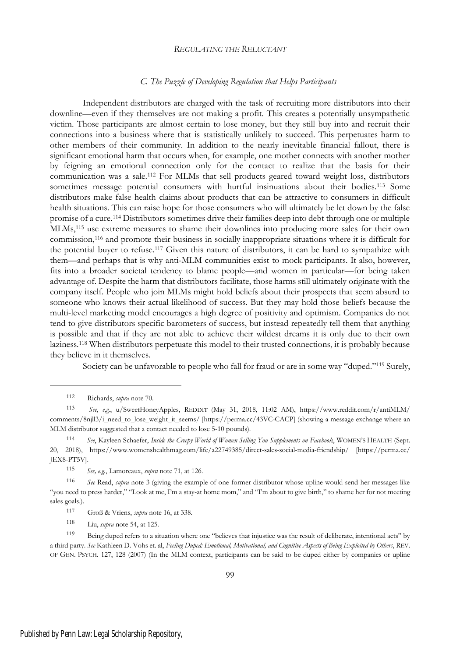#### *C. The Puzzle of Developing Regulation that Helps Participants*

Independent distributors are charged with the task of recruiting more distributors into their downline—even if they themselves are not making a profit. This creates a potentially unsympathetic victim. Those participants are almost certain to lose money, but they still buy into and recruit their connections into a business where that is statistically unlikely to succeed. This perpetuates harm to other members of their community. In addition to the nearly inevitable financial fallout, there is significant emotional harm that occurs when, for example, one mother connects with another mother by feigning an emotional connection only for the contact to realize that the basis for their communication was a sale.<sup>112</sup> For MLMs that sell products geared toward weight loss, distributors sometimes message potential consumers with hurtful insinuations about their bodies.<sup>113</sup> Some distributors make false health claims about products that can be attractive to consumers in difficult health situations. This can raise hope for those consumers who will ultimately be let down by the false promise of a cure.<sup>114</sup> Distributors sometimes drive their families deep into debt through one or multiple MLMs,<sup>115</sup> use extreme measures to shame their downlines into producing more sales for their own commission,<sup>116</sup> and promote their business in socially inappropriate situations where it is difficult for the potential buyer to refuse.<sup>117</sup> Given this nature of distributors, it can be hard to sympathize with them—and perhaps that is why anti-MLM communities exist to mock participants. It also, however, fits into a broader societal tendency to blame people—and women in particular—for being taken advantage of. Despite the harm that distributors facilitate, those harms still ultimately originate with the company itself. People who join MLMs might hold beliefs about their prospects that seem absurd to someone who knows their actual likelihood of success. But they may hold those beliefs because the multi-level marketing model encourages a high degree of positivity and optimism. Companies do not tend to give distributors specific barometers of success, but instead repeatedly tell them that anything is possible and that if they are not able to achieve their wildest dreams it is only due to their own laziness.<sup>118</sup> When distributors perpetuate this model to their trusted connections, it is probably because they believe in it themselves.

Society can be unfavorable to people who fall for fraud or are in some way "duped."<sup>119</sup> Surely,

<sup>112</sup> Richards, *supra* note 70.

<sup>113</sup> *See, e.g.*, u/SweetHoneyApples, REDDIT (May 31, 2018, 11:02 AM), https://www.reddit.com/r/antiMLM/ comments/8njll3/i\_need\_to\_lose\_weight\_it\_seems/ [https://perma.cc/43VC-CACP] (showing a message exchange where an MLM distributor suggested that a contact needed to lose 5-10 pounds).

<sup>114</sup> *See*, Kayleen Schaefer, *Inside the Creepy World of Women Selling You Supplements on Facebook*, WOMEN'<sup>S</sup> HEALTH (Sept. 20, 2018), https://www.womenshealthmag.com/life/a22749385/direct-sales-social-media-friendship/ [https://perma.cc/ JEX8-PT5V].

<sup>115</sup> *See, e.g.*, Lamoreaux, *supra* note 71, at 126.

<sup>116</sup> *See* Read, *supra* note 3 (giving the example of one former distributor whose upline would send her messages like "you need to press harder," "Look at me, I'm a stay-at home mom," and "I'm about to give birth," to shame her for not meeting sales goals.).

<sup>117</sup> Groß & Vriens, *supra* note 16, at 338.

<sup>118</sup> Liu, *supra* note 54, at 125.

<sup>119</sup> Being duped refers to a situation where one "believes that injustice was the result of deliberate, intentional acts" by a third party. *See* Kathleen D. Vohs et. al, *Feeling Duped: Emotional, Motivational, and Cognitive Aspects of Being Exploited by Others*, REV. OF GEN. PSYCH. 127, 128 (2007) (In the MLM context, participants can be said to be duped either by companies or upline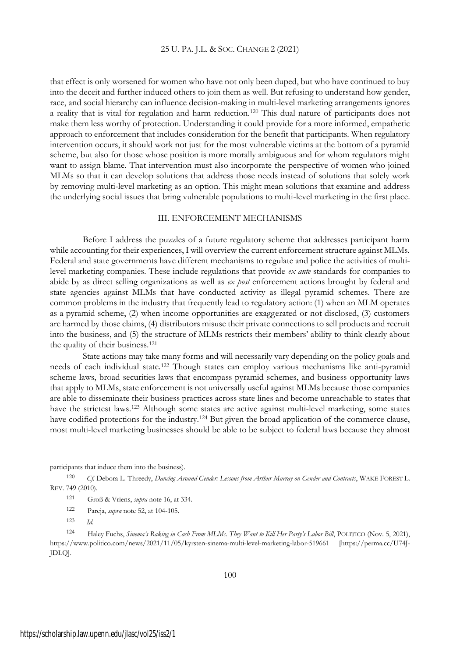that effect is only worsened for women who have not only been duped, but who have continued to buy into the deceit and further induced others to join them as well. But refusing to understand how gender, race, and social hierarchy can influence decision-making in multi-level marketing arrangements ignores a reality that is vital for regulation and harm reduction.<sup>120</sup> This dual nature of participants does not make them less worthy of protection. Understanding it could provide for a more informed, empathetic approach to enforcement that includes consideration for the benefit that participants. When regulatory intervention occurs, it should work not just for the most vulnerable victims at the bottom of a pyramid scheme, but also for those whose position is more morally ambiguous and for whom regulators might want to assign blame. That intervention must also incorporate the perspective of women who joined MLMs so that it can develop solutions that address those needs instead of solutions that solely work by removing multi-level marketing as an option. This might mean solutions that examine and address the underlying social issues that bring vulnerable populations to multi-level marketing in the first place.

## III. ENFORCEMENT MECHANISMS

Before I address the puzzles of a future regulatory scheme that addresses participant harm while accounting for their experiences, I will overview the current enforcement structure against MLMs. Federal and state governments have different mechanisms to regulate and police the activities of multilevel marketing companies. These include regulations that provide *ex ante* standards for companies to abide by as direct selling organizations as well as *ex post* enforcement actions brought by federal and state agencies against MLMs that have conducted activity as illegal pyramid schemes. There are common problems in the industry that frequently lead to regulatory action: (1) when an MLM operates as a pyramid scheme, (2) when income opportunities are exaggerated or not disclosed, (3) customers are harmed by those claims, (4) distributors misuse their private connections to sell products and recruit into the business, and (5) the structure of MLMs restricts their members' ability to think clearly about the quality of their business.<sup>121</sup>

State actions may take many forms and will necessarily vary depending on the policy goals and needs of each individual state.<sup>122</sup> Though states can employ various mechanisms like anti-pyramid scheme laws, broad securities laws that encompass pyramid schemes, and business opportunity laws that apply to MLMs, state enforcement is not universally useful against MLMs because those companies are able to disseminate their business practices across state lines and become unreachable to states that have the strictest laws.<sup>123</sup> Although some states are active against multi-level marketing, some states have codified protections for the industry.<sup>124</sup> But given the broad application of the commerce clause, most multi-level marketing businesses should be able to be subject to federal laws because they almost

participants that induce them into the business).

<sup>120</sup> *Cf.* Debora L. Threedy, *Dancing Around Gender: Lessons from Arthur Murray on Gender and Contracts*, WAKE FOREST L. REV. 749 (2010).

<sup>121</sup> Groß & Vriens, *supra* note 16, at 334.

<sup>122</sup> Pareja, *supra* note 52, at 104-105.

<sup>123</sup> *Id.*

<sup>124</sup> Haley Fuchs, *Sinema's Raking in Cash From MLMs. They Want to Kill Her Party's Labor Bill*, POLITICO (Nov. 5, 2021), https://www.politico.com/news/2021/11/05/kyrsten-sinema-multi-level-marketing-labor-519661 [https://perma.cc/U74J-JDLQ].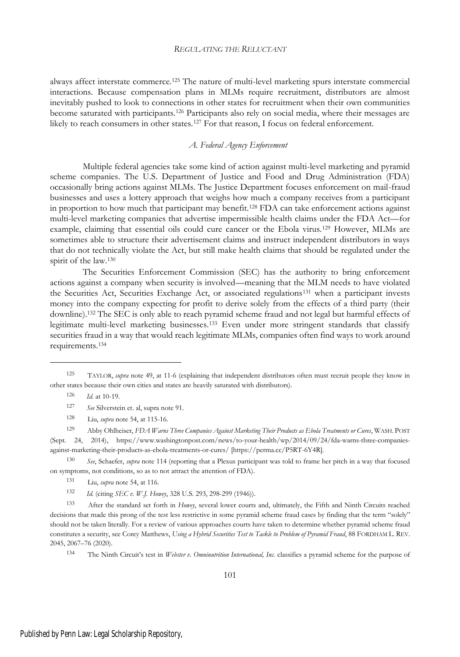always affect interstate commerce.<sup>125</sup> The nature of multi-level marketing spurs interstate commercial interactions. Because compensation plans in MLMs require recruitment, distributors are almost inevitably pushed to look to connections in other states for recruitment when their own communities become saturated with participants.<sup>126</sup> Participants also rely on social media, where their messages are likely to reach consumers in other states.<sup>127</sup> For that reason, I focus on federal enforcement.

## *A. Federal Agency Enforcement*

Multiple federal agencies take some kind of action against multi-level marketing and pyramid scheme companies. The U.S. Department of Justice and Food and Drug Administration (FDA) occasionally bring actions against MLMs. The Justice Department focuses enforcement on mail-fraud businesses and uses a lottery approach that weighs how much a company receives from a participant in proportion to how much that participant may benefit.<sup>128</sup> FDA can take enforcement actions against multi-level marketing companies that advertise impermissible health claims under the FDA Act—for example, claiming that essential oils could cure cancer or the Ebola virus.<sup>129</sup> However, MLMs are sometimes able to structure their advertisement claims and instruct independent distributors in ways that do not technically violate the Act, but still make health claims that should be regulated under the spirit of the law.<sup>130</sup>

The Securities Enforcement Commission (SEC) has the authority to bring enforcement actions against a company when security is involved—meaning that the MLM needs to have violated the Securities Act, Securities Exchange Act, or associated regulations<sup>131</sup> when a participant invests money into the company expecting for profit to derive solely from the effects of a third party (their downline).<sup>132</sup> The SEC is only able to reach pyramid scheme fraud and not legal but harmful effects of legitimate multi-level marketing businesses.<sup>133</sup> Even under more stringent standards that classify securities fraud in a way that would reach legitimate MLMs, companies often find ways to work around requirements.<sup>134</sup>

<sup>129</sup> Abby Ohlheiser, *FDA Warns Three Companies Against Marketing Their Products as Ebola Treatments or Cures*, WASH. POST (Sept. 24, 2014), https://www.washingtonpost.com/news/to-your-health/wp/2014/09/24/fda-warns-three-companiesagainst-marketing-their-products-as-ebola-treatments-or-cures/ [https://perma.cc/P5RT-6Y4R].

<sup>130</sup> *See*, Schaefer, *supra* note 114 (reporting that a Plexus participant was told to frame her pitch in a way that focused on symptoms, not conditions, so as to not attract the attention of FDA).

<sup>132</sup> *Id.* (citing *SEC v. W.J. Howey*, 328 U.S. 293, 298-299 (1946)).

<sup>134</sup> The Ninth Circuit's test in *Webster v. Omninutrition International, Inc.* classifies a pyramid scheme for the purpose of

<sup>125</sup> TAYLOR, *supra* note 49, at 11-6 (explaining that independent distributors often must recruit people they know in other states because their own cities and states are heavily saturated with distributors).

<sup>126</sup> *Id*. at 10-19.

<sup>127</sup> *See* Silverstein et. al, supra note 91.

<sup>128</sup> Liu, *supra* note 54, at 115-16.

<sup>131</sup> Liu, *supra* note 54, at 116.

<sup>133</sup> After the standard set forth in *Howey*, several lower courts and, ultimately, the Fifth and Ninth Circuits reached decisions that made this prong of the test less restrictive in some pyramid scheme fraud cases by finding that the term "solely" should not be taken literally. For a review of various approaches courts have taken to determine whether pyramid scheme fraud constitutes a security, see Corey Matthews, *Using a Hybrid Securities Test to Tackle to Problem of Pyramid Fraud*, 88 FORDHAM L. REV. 2045, 2067–76 (2020).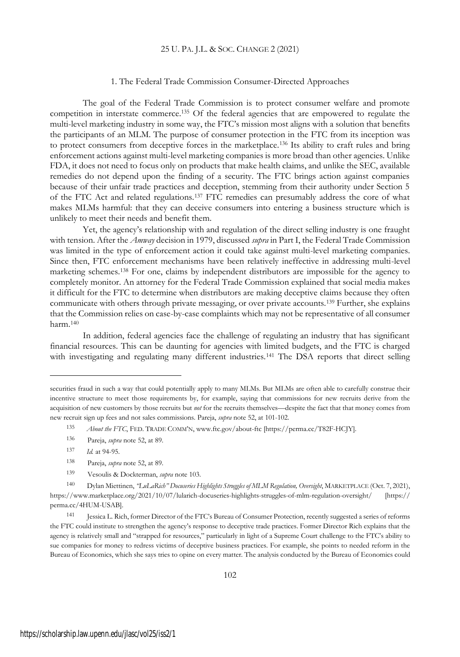## 1. The Federal Trade Commission Consumer-Directed Approaches

The goal of the Federal Trade Commission is to protect consumer welfare and promote competition in interstate commerce.<sup>135</sup> Of the federal agencies that are empowered to regulate the multi-level marketing industry in some way, the FTC's mission most aligns with a solution that benefits the participants of an MLM. The purpose of consumer protection in the FTC from its inception was to protect consumers from deceptive forces in the marketplace.<sup>136</sup> Its ability to craft rules and bring enforcement actions against multi-level marketing companies is more broad than other agencies. Unlike FDA, it does not need to focus only on products that make health claims, and unlike the SEC, available remedies do not depend upon the finding of a security. The FTC brings action against companies because of their unfair trade practices and deception, stemming from their authority under Section 5 of the FTC Act and related regulations.<sup>137</sup> FTC remedies can presumably address the core of what makes MLMs harmful: that they can deceive consumers into entering a business structure which is unlikely to meet their needs and benefit them.

Yet, the agency's relationship with and regulation of the direct selling industry is one fraught with tension. After the *Amway* decision in 1979, discussed *supra* in Part I, the Federal Trade Commission was limited in the type of enforcement action it could take against multi-level marketing companies. Since then, FTC enforcement mechanisms have been relatively ineffective in addressing multi-level marketing schemes.<sup>138</sup> For one, claims by independent distributors are impossible for the agency to completely monitor. An attorney for the Federal Trade Commission explained that social media makes it difficult for the FTC to determine when distributors are making deceptive claims because they often communicate with others through private messaging, or over private accounts.<sup>139</sup> Further, she explains that the Commission relies on case-by-case complaints which may not be representative of all consumer harm.<sup>140</sup>

In addition, federal agencies face the challenge of regulating an industry that has significant financial resources. This can be daunting for agencies with limited budgets, and the FTC is charged with investigating and regulating many different industries.<sup>141</sup> The DSA reports that direct selling

securities fraud in such a way that could potentially apply to many MLMs. But MLMs are often able to carefully construe their incentive structure to meet those requirements by, for example, saying that commissions for new recruits derive from the acquisition of new customers by those recruits but *not* for the recruits themselves—despite the fact that that money comes from new recruit sign up fees and not sales commissions. Pareja, *supra* note 52, at 101-102.

<sup>135</sup> *About the FTC*, FED. TRADE COMM'N, www.ftc.gov/about-ftc [https://perma.cc/T82F-HCJY].

<sup>136</sup> Pareja, *supra* note 52, at 89.

<sup>137</sup> *Id.* at 94-95.

<sup>138</sup> Pareja, *supra* note 52, at 89.

<sup>139</sup> Vesoulis & Dockterman, *supra* note 103.

<sup>140</sup> Dylan Miettinen, *"LuLaRich" Docuseries Highlights Struggles of MLM Regulation, Oversight*, MARKETPLACE (Oct. 7, 2021), https://www.marketplace.org/2021/10/07/lularich-docuseries-highlights-struggles-of-mlm-regulation-oversight/ [https:// perma.cc/4HUM-USAB].

<sup>141</sup> Jessica L. Rich, former Director of the FTC's Bureau of Consumer Protection, recently suggested a series of reforms the FTC could institute to strengthen the agency's response to deceptive trade practices. Former Director Rich explains that the agency is relatively small and "strapped for resources," particularly in light of a Supreme Court challenge to the FTC's ability to sue companies for money to redress victims of deceptive business practices. For example, she points to needed reform in the Bureau of Economics, which she says tries to opine on every matter. The analysis conducted by the Bureau of Economics could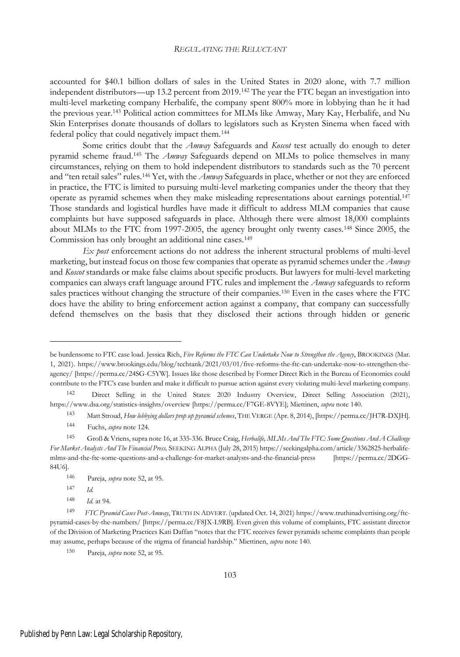accounted for \$40.1 billion dollars of sales in the United States in 2020 alone, with 7.7 million independent distributors—up 13.2 percent from 2019.<sup>142</sup> The year the FTC began an investigation into multi-level marketing company Herbalife, the company spent 800% more in lobbying than he it had the previous year.<sup>143</sup> Political action committees for MLMs like Amway, Mary Kay, Herbalife, and Nu Skin Enterprises donate thousands of dollars to legislators such as Krysten Sinema when faced with federal policy that could negatively impact them.<sup>144</sup>

Some critics doubt that the *Amway* Safeguards and *Koscot* test actually do enough to deter pyramid scheme fraud.<sup>145</sup> The *Amway* Safeguards depend on MLMs to police themselves in many circumstances, relying on them to hold independent distributors to standards such as the 70 percent and "ten retail sales" rules.<sup>146</sup> Yet, with the *Amway* Safeguards in place, whether or not they are enforced in practice, the FTC is limited to pursuing multi-level marketing companies under the theory that they operate as pyramid schemes when they make misleading representations about earnings potential.<sup>147</sup> Those standards and logistical hurdles have made it difficult to address MLM companies that cause complaints but have supposed safeguards in place. Although there were almost 18,000 complaints about MLMs to the FTC from 1997-2005, the agency brought only twenty cases.<sup>148</sup> Since 2005, the Commission has only brought an additional nine cases.<sup>149</sup>

*Ex post* enforcement actions do not address the inherent structural problems of multi-level marketing, but instead focus on those few companies that operate as pyramid schemes under the *Amway* and *Koscot* standards or make false claims about specific products. But lawyers for multi-level marketing companies can always craft language around FTC rules and implement the *Amway* safeguards to reform sales practices without changing the structure of their companies.<sup>150</sup> Even in the cases where the FTC does have the ability to bring enforcement action against a company, that company can successfully defend themselves on the basis that they disclosed their actions through hidden or generic

<sup>143</sup> Matt Stroud, *How lobbying dollars prop up pyramid schemes*, THEVERGE (Apr. 8, 2014), [https://perma.cc/JH7R-DXJH].

be burdensome to FTC case load. Jessica Rich, *Five Reforms the FTC Can Undertake Now to Strengthen the Agency*, BROOKINGS (Mar. 1, 2021). https://www.brookings.edu/blog/techtank/2021/03/01/five-reforms-the-ftc-can-undertake-now-to-strengthen-theagency/ [https://perma.cc/24SG-C5YW]. Issues like those described by Former Direct Rich in the Bureau of Economics could contribute to the FTC's case burden and make it difficult to pursue action against every violating multi-level marketing company.

<sup>142</sup> Direct Selling in the United States: 2020 Industry Overview, Direct Selling Association (2021), https://www.dsa.org/statistics-insights/overview [https://perma.cc/F7GE-8VYE]; Miettinen, *supra* note 140.

<sup>144</sup> Fuchs, *supra* note 124.

<sup>145</sup> Groß & Vriens, supra note 16, at 335-336. Bruce Craig, *Herbalife, MLMs And The FTC: Some Questions And A Challenge For Market Analysts And The Financial Press,* SEEKING ALPHA (July 28, 2015) https://seekingalpha.com/article/3362825-herbalifemlms-and-the-ftc-some-questions-and-a-challenge-for-market-analysts-and-the-financial-press [https://perma.cc/2DGG-84U6].

<sup>146</sup> Pareja, *supra* note 52, at 95.

<sup>147</sup> *Id.*

<sup>148</sup> *Id.* at 94.

<sup>149</sup> *FTC Pyramid Cases Post-Amway*, TRUTH IN ADVERT. (updated Oct. 14, 2021) https://www.truthinadvertising.org/ftcpyramid-cases-by-the-numbers/ [https://perma.cc/F8JX-L9RB]. Even given this volume of complaints, FTC assistant director of the Division of Marketing Practices Kati Daffan "notes that the FTC receives fewer pyramids scheme complaints than people may assume, perhaps because of the stigma of financial hardship." Miettinen, *supra* note 140.

<sup>150</sup> Pareja, *supra* note 52, at 95.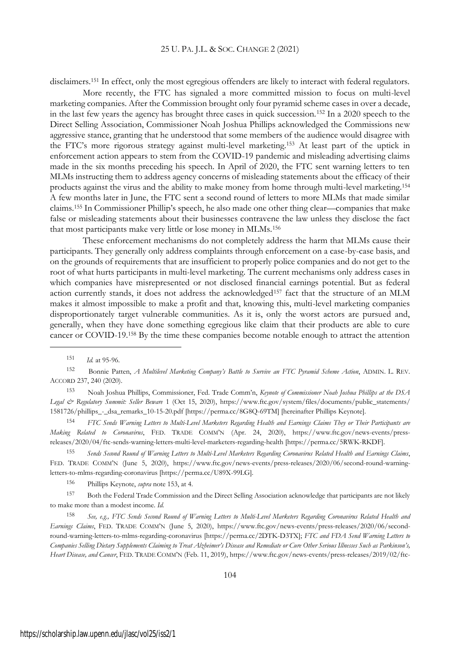disclaimers.<sup>151</sup> In effect, only the most egregious offenders are likely to interact with federal regulators.

More recently, the FTC has signaled a more committed mission to focus on multi-level marketing companies. After the Commission brought only four pyramid scheme cases in over a decade, in the last few years the agency has brought three cases in quick succession.<sup>152</sup> In a 2020 speech to the Direct Selling Association, Commissioner Noah Joshua Phillips acknowledged the Commissions new aggressive stance, granting that he understood that some members of the audience would disagree with the FTC's more rigorous strategy against multi-level marketing.<sup>153</sup> At least part of the uptick in enforcement action appears to stem from the COVID-19 pandemic and misleading advertising claims made in the six months preceding his speech. In April of 2020, the FTC sent warning letters to ten MLMs instructing them to address agency concerns of misleading statements about the efficacy of their products against the virus and the ability to make money from home through multi-level marketing.<sup>154</sup> A few months later in June, the FTC sent a second round of letters to more MLMs that made similar claims.<sup>155</sup> In Commissioner Phillip's speech, he also made one other thing clear—companies that make false or misleading statements about their businesses contravene the law unless they disclose the fact that most participants make very little or lose money in MLMs.<sup>156</sup>

These enforcement mechanisms do not completely address the harm that MLMs cause their participants. They generally only address complaints through enforcement on a case-by-case basis, and on the grounds of requirements that are insufficient to properly police companies and do not get to the root of what hurts participants in multi-level marketing. The current mechanisms only address cases in which companies have misrepresented or not disclosed financial earnings potential. But as federal action currently stands, it does not address the acknowledged<sup>157</sup> fact that the structure of an MLM makes it almost impossible to make a profit and that, knowing this, multi-level marketing companies disproportionately target vulnerable communities. As it is, only the worst actors are pursued and, generally, when they have done something egregious like claim that their products are able to cure cancer or COVID-19.<sup>158</sup> By the time these companies become notable enough to attract the attention

<sup>153</sup> Noah Joshua Phillips, Commissioner, Fed. Trade Comm'n, *Keynote of Commissioner Noah Joshua Phillips at the DSA Legal & Regulatory Summit: Seller Beware* 1 (Oct 15, 2020), https://www.ftc.gov/system/files/documents/public\_statements/ 1581726/phillips\_-\_dsa\_remarks\_10-15-20.pdf [https://perma.cc/8G8Q-69TM] [hereinafter Phillips Keynote].

<sup>154</sup> FTC Sends Warning Letters to Multi-Level Marketers Regarding Health and Earnings Claims They or Their Participants are *Making Related to Coronavirus*, FED. TRADE COMM'N (Apr. 24, 2020), https://www.ftc.gov/news-events/pressreleases/2020/04/ftc-sends-warning-letters-multi-level-marketers-regarding-health [https://perma.cc/5RWK-RKDF].

155 Sends Second Round of Warning Letters to Multi-Level Marketers Regarding Coronavirus Related Health and Earnings Claims, FED. TRADE COMM'N (June 5, 2020), https://www.ftc.gov/news-events/press-releases/2020/06/second-round-warningletters-to-mlms-regarding-coronavirus [https://perma.cc/U89X-99LG].

<sup>156</sup> Phillips Keynote, *supra* note 153, at 4.

<sup>157</sup> Both the Federal Trade Commission and the Direct Selling Association acknowledge that participants are not likely to make more than a modest income. *Id.*

<sup>158</sup> *See, e.g., FTC Sends Second Round of Warning Letters to Multi-Level Marketers Regarding Coronavirus Related Health and Earnings Claims*, FED. TRADE COMM'N (June 5, 2020), https://www.ftc.gov/news-events/press-releases/2020/06/secondround-warning-letters-to-mlms-regarding-coronavirus [https://perma.cc/2DTK-D3TX]; *FTC and FDA Send Warning Letters to* Companies Selling Dietary Supplements Claiming to Treat Alzheimer's Disease and Remediate or Cure Other Serious Illnesses Such as Parkinson's, *Heart Disease, and Cancer*, FED. TRADE COMM'N (Feb. 11, 2019), https://www.ftc.gov/news-events/press-releases/2019/02/ftc-

<sup>151</sup> *Id.* at 95-96.

<sup>152</sup> Bonnie Patten, *A Multilevel Marketing Company's Battle to Survive an FTC Pyramid Scheme Action*, ADMIN. L. REV. ACCORD 237, 240 (2020).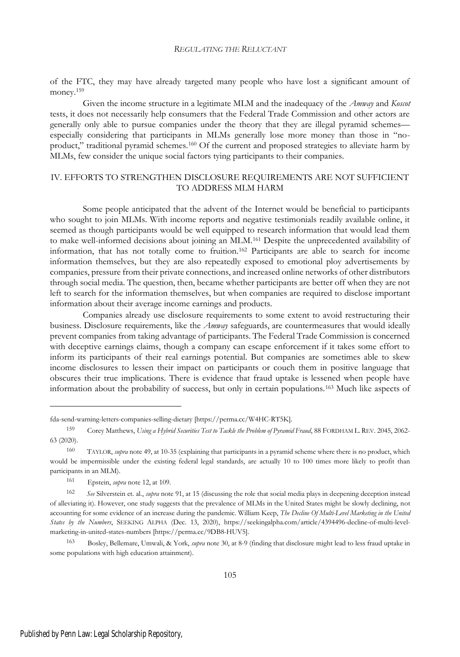of the FTC, they may have already targeted many people who have lost a significant amount of money.<sup>159</sup>

Given the income structure in a legitimate MLM and the inadequacy of the *Amway* and *Koscot* tests, it does not necessarily help consumers that the Federal Trade Commission and other actors are generally only able to pursue companies under the theory that they are illegal pyramid schemes especially considering that participants in MLMs generally lose more money than those in "noproduct," traditional pyramid schemes.<sup>160</sup> Of the current and proposed strategies to alleviate harm by MLMs, few consider the unique social factors tying participants to their companies.

## IV. EFFORTS TO STRENGTHEN DISCLOSURE REQUIREMENTS ARE NOT SUFFICIENT TO ADDRESS MLM HARM

Some people anticipated that the advent of the Internet would be beneficial to participants who sought to join MLMs. With income reports and negative testimonials readily available online, it seemed as though participants would be well equipped to research information that would lead them to make well-informed decisions about joining an MLM.<sup>161</sup> Despite the unprecedented availability of information, that has not totally come to fruition.<sup>162</sup> Participants are able to search for income information themselves, but they are also repeatedly exposed to emotional ploy advertisements by companies, pressure from their private connections, and increased online networks of other distributors through social media. The question, then, became whether participants are better off when they are not left to search for the information themselves, but when companies are required to disclose important information about their average income earnings and products.

Companies already use disclosure requirements to some extent to avoid restructuring their business. Disclosure requirements, like the *Amway* safeguards, are countermeasures that would ideally prevent companies from taking advantage of participants. The Federal Trade Commission is concerned with deceptive earnings claims, though a company can escape enforcement if it takes some effort to inform its participants of their real earnings potential. But companies are sometimes able to skew income disclosures to lessen their impact on participants or couch them in positive language that obscures their true implications. There is evidence that fraud uptake is lessened when people have information about the probability of success, but only in certain populations.<sup>163</sup> Much like aspects of

fda-send-warning-letters-companies-selling-dietary [https://perma.cc/W4HC-RT5K].

<sup>159</sup> Corey Matthews, *Using a Hybrid Securities Test to Tackle the Problem of Pyramid Fraud*, 88 FORDHAM L. REV. 2045, 2062- 63 (2020).

<sup>160</sup> TAYLOR, *supra* note 49, at 10-35 (explaining that participants in a pyramid scheme where there is no product, which would be impermissible under the existing federal legal standards, are actually 10 to 100 times more likely to profit than participants in an MLM).

<sup>161</sup> Epstein, *supra* note 12, at 109.

<sup>162</sup> *See* Silverstein et. al., *supra* note 91, at 15 (discussing the role that social media plays in deepening deception instead of alleviating it). However, one study suggests that the prevalence of MLMs in the United States might be slowly declining, not accounting for some evidence of an increase during the pandemic. William Keep, *The Decline Of Multi-Level Marketing in the United States by the Numbers*, SEEKING ALPHA (Dec. 13, 2020), https://seekingalpha.com/article/4394496-decline-of-multi-levelmarketing-in-united-states-numbers [https://perma.cc/9DB8-HUV5].

<sup>163</sup> Bosley, Bellemare, Umwali, & York, *supra* note 30, at 8-9 (finding that disclosure might lead to less fraud uptake in some populations with high education attainment).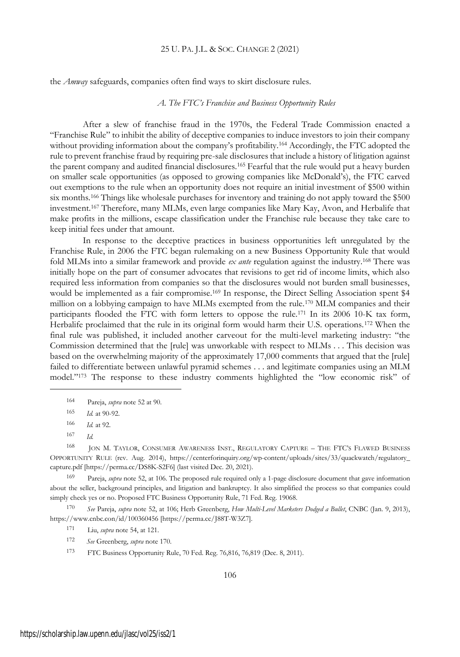the *Amway* safeguards, companies often find ways to skirt disclosure rules.

#### *A. The FTC's Franchise and Business Opportunity Rules*

After a slew of franchise fraud in the 1970s, the Federal Trade Commission enacted a "Franchise Rule" to inhibit the ability of deceptive companies to induce investors to join their company without providing information about the company's profitability.<sup>164</sup> Accordingly, the FTC adopted the rule to prevent franchise fraud by requiring pre-sale disclosures that include a history of litigation against the parent company and audited financial disclosures.<sup>165</sup> Fearful that the rule would put a heavy burden on smaller scale opportunities (as opposed to growing companies like McDonald's), the FTC carved out exemptions to the rule when an opportunity does not require an initial investment of \$500 within six months.<sup>166</sup> Things like wholesale purchases for inventory and training do not apply toward the \$500 investment.<sup>167</sup> Therefore, many MLMs, even large companies like Mary Kay, Avon, and Herbalife that make profits in the millions, escape classification under the Franchise rule because they take care to keep initial fees under that amount.

In response to the deceptive practices in business opportunities left unregulated by the Franchise Rule, in 2006 the FTC began rulemaking on a new Business Opportunity Rule that would fold MLMs into a similar framework and provide *ex ante* regulation against the industry.<sup>168</sup> There was initially hope on the part of consumer advocates that revisions to get rid of income limits, which also required less information from companies so that the disclosures would not burden small businesses, would be implemented as a fair compromise.<sup>169</sup> In response, the Direct Selling Association spent \$4 million on a lobbying campaign to have MLMs exempted from the rule.<sup>170</sup> MLM companies and their participants flooded the FTC with form letters to oppose the rule.<sup>171</sup> In its 2006 10-K tax form, Herbalife proclaimed that the rule in its original form would harm their U.S. operations.<sup>172</sup> When the final rule was published, it included another carveout for the multi-level marketing industry: "the Commission determined that the [rule] was unworkable with respect to MLMs . . . This decision was based on the overwhelming majority of the approximately 17,000 comments that argued that the [rule] failed to differentiate between unlawful pyramid schemes . . . and legitimate companies using an MLM model."<sup>173</sup> The response to these industry comments highlighted the "low economic risk" of

<sup>165</sup> *Id.* at 90-92.

<sup>168</sup> JON M. TAYLOR, CONSUMER AWARENESS INST., REGULATORY CAPTURE – THE FTC'<sup>S</sup> FLAWED BUSINESS OPPORTUNITY RULE (rev. Aug. 2014), https://centerforinquiry.org/wp-content/uploads/sites/33/quackwatch/regulatory\_ capture.pdf [https://perma.cc/DS8K-S2F6] (last visited Dec. 20, 2021).

<sup>169</sup> Pareja, *supra* note 52, at 106. The proposed rule required only a 1-page disclosure document that gave information about the seller, background principles, and litigation and bankruptcy. It also simplified the process so that companies could simply check yes or no. Proposed FTC Business Opportunity Rule, 71 Fed. Reg. 19068.

<sup>170</sup> *See* Pareja, *supra* note 52, at 106; Herb Greenberg, *How Multi-Level Marketers Dodged a Bullet*, CNBC (Jan. 9, 2013), https://www.cnbc.con/id/100360456 [https://perma.cc/J88T-W3Z7].

- <sup>171</sup> Liu, *supra* note 54, at 121.
- <sup>172</sup> *See* Greenberg, *supra* note 170.

<sup>173</sup> FTC Business Opportunity Rule, 70 Fed. Reg. 76,816, 76,819 (Dec. 8, 2011).

<sup>164</sup> Pareja, *supra* note 52 at 90.

<sup>166</sup> *Id.* at 92.

<sup>167</sup> *Id.*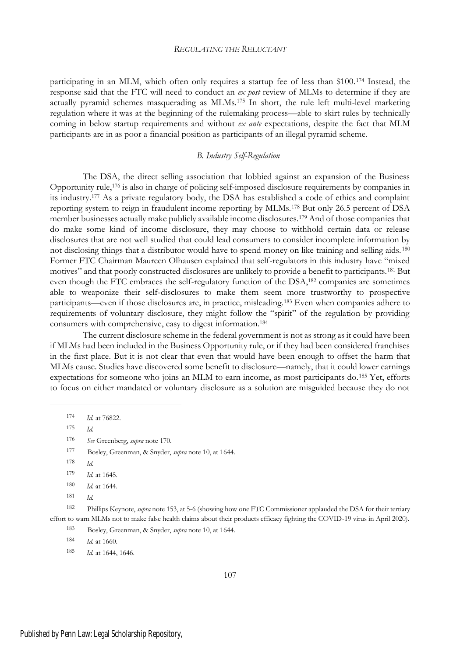participating in an MLM, which often only requires a startup fee of less than \$100.<sup>174</sup> Instead, the response said that the FTC will need to conduct an *ex post* review of MLMs to determine if they are actually pyramid schemes masquerading as MLMs.<sup>175</sup> In short, the rule left multi-level marketing regulation where it was at the beginning of the rulemaking process—able to skirt rules by technically coming in below startup requirements and without *ex ante* expectations, despite the fact that MLM participants are in as poor a financial position as participants of an illegal pyramid scheme.

## *B. Industry Self-Regulation*

The DSA, the direct selling association that lobbied against an expansion of the Business Opportunity rule,<sup>176</sup> is also in charge of policing self-imposed disclosure requirements by companies in its industry.<sup>177</sup> As a private regulatory body, the DSA has established a code of ethics and complaint reporting system to reign in fraudulent income reporting by MLMs.<sup>178</sup> But only 26.5 percent of DSA member businesses actually make publicly available income disclosures.<sup>179</sup> And of those companies that do make some kind of income disclosure, they may choose to withhold certain data or release disclosures that are not well studied that could lead consumers to consider incomplete information by not disclosing things that a distributor would have to spend money on like training and selling aids. <sup>180</sup> Former FTC Chairman Maureen Olhausen explained that self-regulators in this industry have "mixed motives" and that poorly constructed disclosures are unlikely to provide a benefit to participants.<sup>181</sup> But even though the FTC embraces the self-regulatory function of the DSA,<sup>182</sup> companies are sometimes able to weaponize their self-disclosures to make them seem more trustworthy to prospective participants—even if those disclosures are, in practice, misleading.<sup>183</sup> Even when companies adhere to requirements of voluntary disclosure, they might follow the "spirit" of the regulation by providing consumers with comprehensive, easy to digest information.<sup>184</sup>

The current disclosure scheme in the federal government is not as strong as it could have been if MLMs had been included in the Business Opportunity rule, or if they had been considered franchises in the first place. But it is not clear that even that would have been enough to offset the harm that MLMs cause. Studies have discovered some benefit to disclosure—namely, that it could lower earnings expectations for someone who joins an MLM to earn income, as most participants do.<sup>185</sup> Yet, efforts to focus on either mandated or voluntary disclosure as a solution are misguided because they do not

<sup>175</sup> *Id.*

- <sup>177</sup> Bosley, Greenman, & Snyder, *supra* note 10, at 1644.
- <sup>178</sup> *Id.*

<sup>174</sup> *Id.* at 76822.

<sup>176</sup> *See* Greenberg, *supra* note 170.

<sup>179</sup> *Id.* at 1645.

<sup>180</sup> *Id.* at 1644.

<sup>181</sup> *Id.*

<sup>182</sup> Phillips Keynote, *supra* note 153, at 5-6 (showing how one FTC Commissioner applauded the DSA for their tertiary effort to warn MLMs not to make false health claims about their products efficacy fighting the COVID-19 virus in April 2020).

<sup>183</sup> Bosley, Greenman, & Snyder, *supra* note 10, at 1644.

<sup>184</sup> *Id.* at 1660.

<sup>185</sup> *Id.* at 1644, 1646.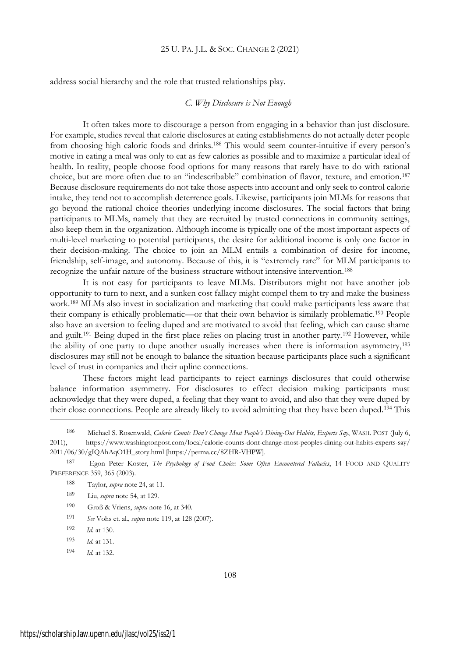address social hierarchy and the role that trusted relationships play.

#### *C. Why Disclosure is Not Enough*

It often takes more to discourage a person from engaging in a behavior than just disclosure. For example, studies reveal that calorie disclosures at eating establishments do not actually deter people from choosing high caloric foods and drinks.<sup>186</sup> This would seem counter-intuitive if every person's motive in eating a meal was only to eat as few calories as possible and to maximize a particular ideal of health. In reality, people choose food options for many reasons that rarely have to do with rational choice, but are more often due to an "indescribable" combination of flavor, texture, and emotion.<sup>187</sup> Because disclosure requirements do not take those aspects into account and only seek to control calorie intake, they tend not to accomplish deterrence goals. Likewise, participants join MLMs for reasons that go beyond the rational choice theories underlying income disclosures. The social factors that bring participants to MLMs, namely that they are recruited by trusted connections in community settings, also keep them in the organization. Although income is typically one of the most important aspects of multi-level marketing to potential participants, the desire for additional income is only one factor in their decision-making. The choice to join an MLM entails a combination of desire for income, friendship, self-image, and autonomy. Because of this, it is "extremely rare" for MLM participants to recognize the unfair nature of the business structure without intensive intervention.<sup>188</sup>

It is not easy for participants to leave MLMs. Distributors might not have another job opportunity to turn to next, and a sunken cost fallacy might compel them to try and make the business work.<sup>189</sup> MLMs also invest in socialization and marketing that could make participants less aware that their company is ethically problematic—or that their own behavior is similarly problematic.<sup>190</sup> People also have an aversion to feeling duped and are motivated to avoid that feeling, which can cause shame and guilt.<sup>191</sup> Being duped in the first place relies on placing trust in another party.<sup>192</sup> However, while the ability of one party to dupe another usually increases when there is information asymmetry,<sup>193</sup> disclosures may still not be enough to balance the situation because participants place such a significant level of trust in companies and their upline connections.

These factors might lead participants to reject earnings disclosures that could otherwise balance information asymmetry. For disclosures to effect decision making participants must acknowledge that they were duped, a feeling that they want to avoid, and also that they were duped by their close connections. People are already likely to avoid admitting that they have been duped.<sup>194</sup> This

<sup>194</sup> *Id*. at 132.

<sup>186</sup> Michael S. Rosenwald, *Calorie Counts Don't Change Most People's Dining-Out Habits, Experts Say*, WASH. POST (July 6, 2011), https://www.washingtonpost.com/local/calorie-counts-dont-change-most-peoples-dining-out-habits-experts-say/ 2011/06/30/gIQAhAqO1H\_story.html [https://perma.cc/8ZHR-VHPW].

<sup>187</sup> Egon Peter Koster, *The Psychology of Food Choice: Some Often Encountered Fallacies*, 14 FOOD AND QUALITY PREFERENCE 359, 365 (2003).

<sup>188</sup> Taylor, *supra* note 24, at 11.

<sup>189</sup> Liu, *supra* note 54, at 129.

<sup>190</sup> Groß & Vriens, *supra* note 16, at 340.

<sup>191</sup> *See* Vohs et. al., *supra* note 119, at 128 (2007).

<sup>192</sup> *Id*. at 130.

<sup>193</sup> *Id*. at 131.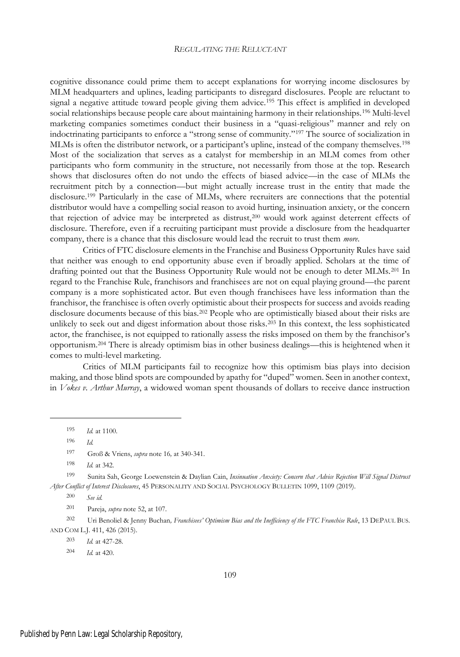cognitive dissonance could prime them to accept explanations for worrying income disclosures by MLM headquarters and uplines, leading participants to disregard disclosures. People are reluctant to signal a negative attitude toward people giving them advice.<sup>195</sup> This effect is amplified in developed social relationships because people care about maintaining harmony in their relationships.<sup>196</sup> Multi-level marketing companies sometimes conduct their business in a "quasi-religious" manner and rely on indoctrinating participants to enforce a "strong sense of community."<sup>197</sup> The source of socialization in MLMs is often the distributor network, or a participant's upline, instead of the company themselves.<sup>198</sup> Most of the socialization that serves as a catalyst for membership in an MLM comes from other participants who form community in the structure, not necessarily from those at the top. Research shows that disclosures often do not undo the effects of biased advice—in the case of MLMs the recruitment pitch by a connection—but might actually increase trust in the entity that made the disclosure.<sup>199</sup> Particularly in the case of MLMs, where recruiters are connections that the potential distributor would have a compelling social reason to avoid hurting, insinuation anxiety, or the concern that rejection of advice may be interpreted as distrust,<sup>200</sup> would work against deterrent effects of disclosure. Therefore, even if a recruiting participant must provide a disclosure from the headquarter company, there is a chance that this disclosure would lead the recruit to trust them *more*.

Critics of FTC disclosure elements in the Franchise and Business Opportunity Rules have said that neither was enough to end opportunity abuse even if broadly applied. Scholars at the time of drafting pointed out that the Business Opportunity Rule would not be enough to deter MLMs.<sup>201</sup> In regard to the Franchise Rule, franchisors and franchisees are not on equal playing ground—the parent company is a more sophisticated actor. But even though franchisees have less information than the franchisor, the franchisee is often overly optimistic about their prospects for success and avoids reading disclosure documents because of this bias.<sup>202</sup> People who are optimistically biased about their risks are unlikely to seek out and digest information about those risks.<sup>203</sup> In this context, the less sophisticated actor, the franchisee, is not equipped to rationally assess the risks imposed on them by the franchisor's opportunism.<sup>204</sup> There is already optimism bias in other business dealings—this is heightened when it comes to multi-level marketing.

Critics of MLM participants fail to recognize how this optimism bias plays into decision making, and those blind spots are compounded by apathy for "duped" women. Seen in another context, in *Vokes v. Arthur Murray*, a widowed woman spent thousands of dollars to receive dance instruction

<sup>201</sup> Pareja, *supra* note 52, at 107.

<sup>202</sup> Uri Benoliel & Jenny Buchan*, Franchisees' Optimism Bias and the Inefficiency of the FTC Franchise Rule*, 13 DEPAUL BUS. AND COM L.J. 411, 426 (2015).

<sup>203</sup> *Id.* at 427-28.

<sup>204</sup> *Id.* at 420.

<sup>195</sup> *Id.* at 1100.

<sup>196</sup> *Id.*

<sup>197</sup> Groß & Vriens, *supra* note 16*,* at 340-341.

<sup>198</sup> *Id.* at 342.

<sup>199</sup> Sunita Sah, George Loewenstein & Daylian Cain, *Insinuation Anxiety: Concern that Advice Rejection Will Signal Distrust After Conflict of Interest Disclosures*, 45 PERSONALITY AND SOCIAL PSYCHOLOGY BULLETIN 1099, 1109 (2019).

<sup>200</sup> *See id.*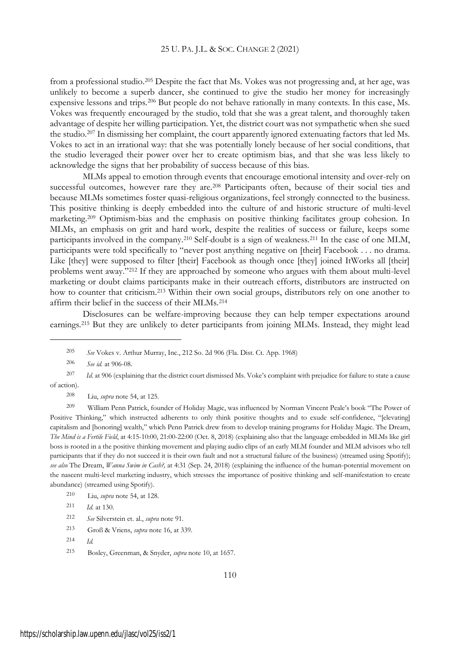from a professional studio.<sup>205</sup> Despite the fact that Ms. Vokes was not progressing and, at her age, was unlikely to become a superb dancer, she continued to give the studio her money for increasingly expensive lessons and trips.<sup>206</sup> But people do not behave rationally in many contexts. In this case, Ms. Vokes was frequently encouraged by the studio, told that she was a great talent, and thoroughly taken advantage of despite her willing participation. Yet, the district court was not sympathetic when she sued the studio.<sup>207</sup> In dismissing her complaint, the court apparently ignored extenuating factors that led Ms. Vokes to act in an irrational way: that she was potentially lonely because of her social conditions, that the studio leveraged their power over her to create optimism bias, and that she was less likely to acknowledge the signs that her probability of success because of this bias.

MLMs appeal to emotion through events that encourage emotional intensity and over-rely on successful outcomes, however rare they are.<sup>208</sup> Participants often, because of their social ties and because MLMs sometimes foster quasi-religious organizations, feel strongly connected to the business. This positive thinking is deeply embedded into the culture of and historic structure of multi-level marketing.<sup>209</sup> Optimism-bias and the emphasis on positive thinking facilitates group cohesion. In MLMs, an emphasis on grit and hard work, despite the realities of success or failure, keeps some participants involved in the company.<sup>210</sup> Self-doubt is a sign of weakness.<sup>211</sup> In the case of one MLM, participants were told specifically to "never post anything negative on [their] Facebook . . . no drama. Like [they] were supposed to filter [their] Facebook as though once [they] joined ItWorks all [their] problems went away."<sup>212</sup> If they are approached by someone who argues with them about multi-level marketing or doubt claims participants make in their outreach efforts, distributors are instructed on how to counter that criticism.<sup>213</sup> Within their own social groups, distributors rely on one another to affirm their belief in the success of their MLMs.<sup>214</sup>

Disclosures can be welfare-improving because they can help temper expectations around earnings.<sup>215</sup> But they are unlikely to deter participants from joining MLMs. Instead, they might lead

<sup>208</sup> Liu, *supra* note 54, at 125.

<sup>209</sup> William Penn Patrick, founder of Holiday Magic, was influenced by Norman Vincent Peale's book "The Power of Positive Thinking," which instructed adherents to only think positive thoughts and to exude self-confidence, "[elevating] capitalism and [honoring] wealth," which Penn Patrick drew from to develop training programs for Holiday Magic. The Dream, *The Mind is a Fertile Field*, at 4:15-10:00, 21:00-22:00 (Oct. 8, 2018) (explaining also that the language embedded in MLMs like girl boss is rooted in a the positive thinking movement and playing audio clips of an early MLM founder and MLM advisors who tell participants that if they do not succeed it is their own fault and not a structural failure of the business) (streamed using Spotify); *see also* The Dream, *Wanna Swim in Cash?,* at 4:31 (Sep. 24, 2018) (explaining the influence of the human-potential movement on the nascent multi-level marketing industry, which stresses the importance of positive thinking and self-manifestation to create abundance) (streamed using Spotify).

- <sup>210</sup> Liu, *supra* note 54, at 128.
- <sup>211</sup> *Id*. at 130.
- <sup>212</sup> *See* Silverstein et. al., *supra* note 91.
- <sup>213</sup> Groß & Vriens, *supra* note 16, at 339.
- <sup>214</sup> *Id.*
- <sup>215</sup> Bosley, Greenman, & Snyder, *supra* note 10, at 1657.

<sup>205</sup> *See* Vokes v. Arthur Murray, Inc., 212 So. 2d 906 (Fla. Dist. Ct. App. 1968)

<sup>206</sup> *See id.* at 906-08.

<sup>207</sup> *Id.* at 906 (explaining that the district court dismissed Ms. Voke's complaint with prejudice for failure to state a cause of action).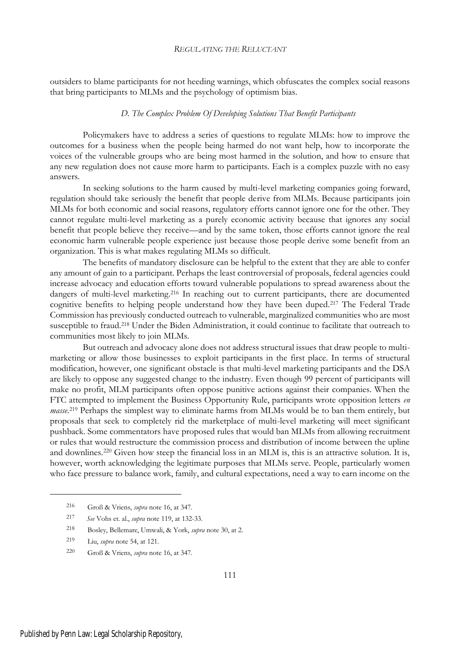outsiders to blame participants for not heeding warnings, which obfuscates the complex social reasons that bring participants to MLMs and the psychology of optimism bias.

## *D. The Complex Problem Of Developing Solutions That Benefit Participants*

Policymakers have to address a series of questions to regulate MLMs: how to improve the outcomes for a business when the people being harmed do not want help, how to incorporate the voices of the vulnerable groups who are being most harmed in the solution, and how to ensure that any new regulation does not cause more harm to participants. Each is a complex puzzle with no easy answers.

In seeking solutions to the harm caused by multi-level marketing companies going forward, regulation should take seriously the benefit that people derive from MLMs. Because participants join MLMs for both economic and social reasons, regulatory efforts cannot ignore one for the other. They cannot regulate multi-level marketing as a purely economic activity because that ignores any social benefit that people believe they receive—and by the same token, those efforts cannot ignore the real economic harm vulnerable people experience just because those people derive some benefit from an organization. This is what makes regulating MLMs so difficult.

The benefits of mandatory disclosure can be helpful to the extent that they are able to confer any amount of gain to a participant. Perhaps the least controversial of proposals, federal agencies could increase advocacy and education efforts toward vulnerable populations to spread awareness about the dangers of multi-level marketing.<sup>216</sup> In reaching out to current participants, there are documented cognitive benefits to helping people understand how they have been duped.<sup>217</sup> The Federal Trade Commission has previously conducted outreach to vulnerable, marginalized communities who are most susceptible to fraud.<sup>218</sup> Under the Biden Administration, it could continue to facilitate that outreach to communities most likely to join MLMs.

But outreach and advocacy alone does not address structural issues that draw people to multimarketing or allow those businesses to exploit participants in the first place. In terms of structural modification, however, one significant obstacle is that multi-level marketing participants and the DSA are likely to oppose any suggested change to the industry. Even though 99 percent of participants will make no profit, MLM participants often oppose punitive actions against their companies. When the FTC attempted to implement the Business Opportunity Rule, participants wrote opposition letters *en masse*.<sup>219</sup> Perhaps the simplest way to eliminate harms from MLMs would be to ban them entirely, but proposals that seek to completely rid the marketplace of multi-level marketing will meet significant pushback. Some commentators have proposed rules that would ban MLMs from allowing recruitment or rules that would restructure the commission process and distribution of income between the upline and downlines.<sup>220</sup> Given how steep the financial loss in an MLM is, this is an attractive solution. It is, however, worth acknowledging the legitimate purposes that MLMs serve. People, particularly women who face pressure to balance work, family, and cultural expectations, need a way to earn income on the

<sup>216</sup> Groß & Vriens, *supra* note 16, at 347.

<sup>217</sup> *See* Vohs et. al., *supra* note 119, at 132-33.

<sup>218</sup> Bosley, Bellemare, Umwali, & York, *supra* note 30, at 2.

<sup>219</sup> Liu, *supra* note 54, at 121.

<sup>220</sup> Groß & Vriens, *supra* note 16, at 347.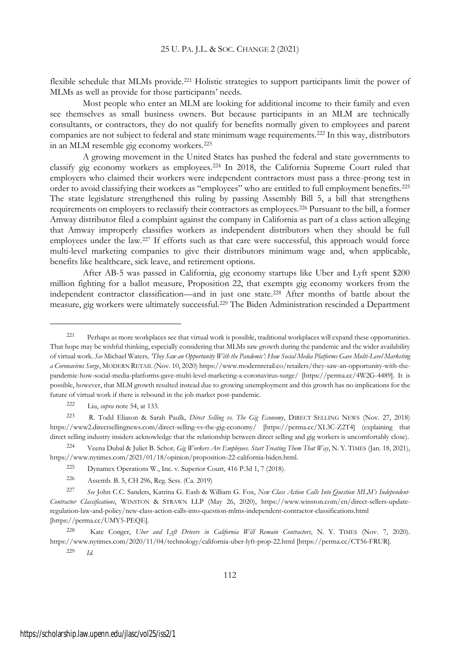flexible schedule that MLMs provide.<sup>221</sup> Holistic strategies to support participants limit the power of MLMs as well as provide for those participants' needs.

Most people who enter an MLM are looking for additional income to their family and even see themselves as small business owners. But because participants in an MLM are technically consultants, or contractors, they do not qualify for benefits normally given to employees and parent companies are not subject to federal and state minimum wage requirements.<sup>222</sup> In this way, distributors in an MLM resemble gig economy workers.<sup>223</sup>

A growing movement in the United States has pushed the federal and state governments to classify gig economy workers as employees.<sup>224</sup> In 2018, the California Supreme Court ruled that employers who claimed their workers were independent contractors must pass a three-prong test in order to avoid classifying their workers as "employees" who are entitled to full employment benefits.<sup>225</sup> The state legislature strengthened this ruling by passing Assembly Bill 5, a bill that strengthens requirements on employers to reclassify their contractors as employees.<sup>226</sup> Pursuant to the bill, a former Amway distributor filed a complaint against the company in California as part of a class action alleging that Amway improperly classifies workers as independent distributors when they should be full employees under the law.<sup>227</sup> If efforts such as that care were successful, this approach would force multi-level marketing companies to give their distributors minimum wage and, when applicable, benefits like healthcare, sick leave, and retirement options.

After AB-5 was passed in California, gig economy startups like Uber and Lyft spent \$200 million fighting for a ballot measure, Proposition 22, that exempts gig economy workers from the independent contractor classification—and in just one state.<sup>228</sup> After months of battle about the measure, gig workers were ultimately successful.<sup>229</sup> The Biden Administration rescinded a Department

<sup>221</sup> Perhaps as more workplaces see that virtual work is possible, traditional workplaces will expand these opportunities. That hope may be wishful thinking, especially considering that MLMs saw growth during the pandemic and the wider availability of virtual work. *See* Michael Waters*, 'They Saw an Opportunity With the Pandemic': How Social Media Platforms Gave Multi-Level Marketing a Coronavirus Surge*, MODERN RETAIL (Nov. 10, 2020) https://www.modernretail.co/retailers/they-saw-an-opportunity-with-thepandemic-how-social-media-platforms-gave-multi-level-marketing-a-coronavirus-surge/ [https://perma.cc/4W2G-4489]. It is possible, however, that MLM growth resulted instead due to growing unemployment and this growth has no implications for the future of virtual work if there is rebound in the job market post-pandemic.

<sup>222</sup> Liu, *supra* note 54, at 133.

<sup>223</sup> R. Todd Eliason & Sarah Paulk, *Direct Selling vs. The Gig Economy*, DIRECT SELLING NEWS (Nov. 27, 2018) https://www2.directsellingnews.com/direct-selling-vs-the-gig-economy/ [https://perma.cc/XL3C-Z2T4] (explaining that direct selling industry insiders acknowledge that the relationship between direct selling and gig workers is uncomfortably close).

<sup>224</sup> Veena Dubal & Juliet B. Schor*, Gig Workers Are Employees. Start Treating Them That Way*, N. Y. TIMES (Jan. 18, 2021), https://www.nytimes.com/2021/01/18/opinion/proposition-22-california-biden.html.

<sup>225</sup> Dynamex Operations W., Inc. v. Superior Court, 416 P.3d 1, 7 (2018).

<sup>226</sup> Assemb. B. 5, CH 296, Reg. Sess. (Ca. 2019)

<sup>227</sup> *See* John C.C. Sanders, Katrina G. Eash & William G. Fox, *New Class Action Calls Into Question MLM's Independent-Contractor Classifications*, WINSTON & STRAWN LLP (May 26, 2020), https://www.winston.com/en/direct-sellers-updateregulation-law-and-policy/new-class-action-calls-into-question-mlms-independent-contractor-classifications.html [https://perma.cc/UMY5-PEQE].

<sup>228</sup> Kate Conger, *Uber and Lyft Drivers in California Will Remain Contractors*, N. Y. TIMES (Nov. 7, 2020). https://www.nytimes.com/2020/11/04/technology/california-uber-lyft-prop-22.html [https://perma.cc/CT56-FRUR]. <sup>229</sup> *Id.*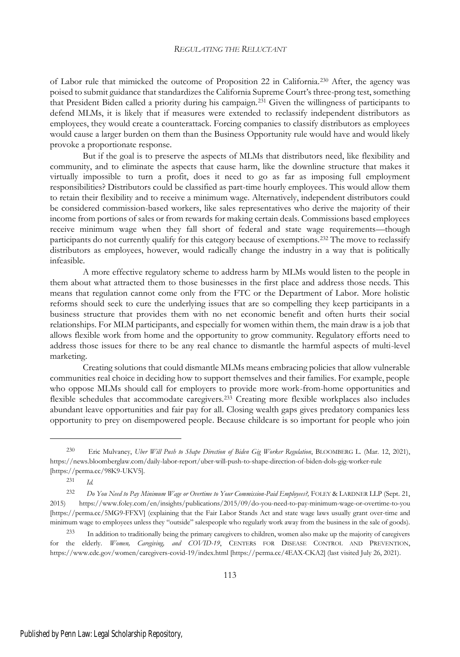of Labor rule that mimicked the outcome of Proposition 22 in California.<sup>230</sup> After, the agency was poised to submit guidance that standardizes the California Supreme Court's three-prong test, something that President Biden called a priority during his campaign.<sup>231</sup> Given the willingness of participants to defend MLMs, it is likely that if measures were extended to reclassify independent distributors as employees, they would create a counterattack. Forcing companies to classify distributors as employees would cause a larger burden on them than the Business Opportunity rule would have and would likely provoke a proportionate response.

But if the goal is to preserve the aspects of MLMs that distributors need, like flexibility and community, and to eliminate the aspects that cause harm, like the downline structure that makes it virtually impossible to turn a profit, does it need to go as far as imposing full employment responsibilities? Distributors could be classified as part-time hourly employees. This would allow them to retain their flexibility and to receive a minimum wage. Alternatively, independent distributors could be considered commission-based workers, like sales representatives who derive the majority of their income from portions of sales or from rewards for making certain deals. Commissions based employees receive minimum wage when they fall short of federal and state wage requirements—though participants do not currently qualify for this category because of exemptions.<sup>232</sup> The move to reclassify distributors as employees, however, would radically change the industry in a way that is politically infeasible.

A more effective regulatory scheme to address harm by MLMs would listen to the people in them about what attracted them to those businesses in the first place and address those needs. This means that regulation cannot come only from the FTC or the Department of Labor. More holistic reforms should seek to cure the underlying issues that are so compelling they keep participants in a business structure that provides them with no net economic benefit and often hurts their social relationships. For MLM participants, and especially for women within them, the main draw is a job that allows flexible work from home and the opportunity to grow community. Regulatory efforts need to address those issues for there to be any real chance to dismantle the harmful aspects of multi-level marketing.

Creating solutions that could dismantle MLMs means embracing policies that allow vulnerable communities real choice in deciding how to support themselves and their families. For example, people who oppose MLMs should call for employers to provide more work-from-home opportunities and flexible schedules that accommodate caregivers.<sup>233</sup> Creating more flexible workplaces also includes abundant leave opportunities and fair pay for all. Closing wealth gaps gives predatory companies less opportunity to prey on disempowered people. Because childcare is so important for people who join

<sup>230</sup> Eric Mulvaney, *Uber Will Push to Shape Direction of Biden Gig Worker Regulation*, BLOOMBERG L. (Mar. 12, 2021), https://news.bloomberglaw.com/daily-labor-report/uber-will-push-to-shape-direction-of-biden-dols-gig-worker-rule [https://perma.cc/98K9-UKV5].

<sup>231</sup> *Id.*

<sup>232</sup> *Do You Need to Pay Minimum Wage or Overtime to Your Commission-Paid Employees?,* FOLEY & LARDNER LLP (Sept. 21, 2015) https://www.foley.com/en/insights/publications/2015/09/do-you-need-to-pay-minimum-wage-or-overtime-to-you [https://perma.cc/5MG9-FFXV] (explaining that the Fair Labor Stands Act and state wage laws usually grant over-time and minimum wage to employees unless they "outside" salespeople who regularly work away from the business in the sale of goods).

<sup>233</sup> In addition to traditionally being the primary caregivers to children, women also make up the majority of caregivers for the elderly. *Women, Caregiving, and COVID-19*, CENTERS FOR DISEASE CONTROL AND PREVENTION, https://www.cdc.gov/women/caregivers-covid-19/index.html [https://perma.cc/4EAX-CKA2] (last visited July 26, 2021).